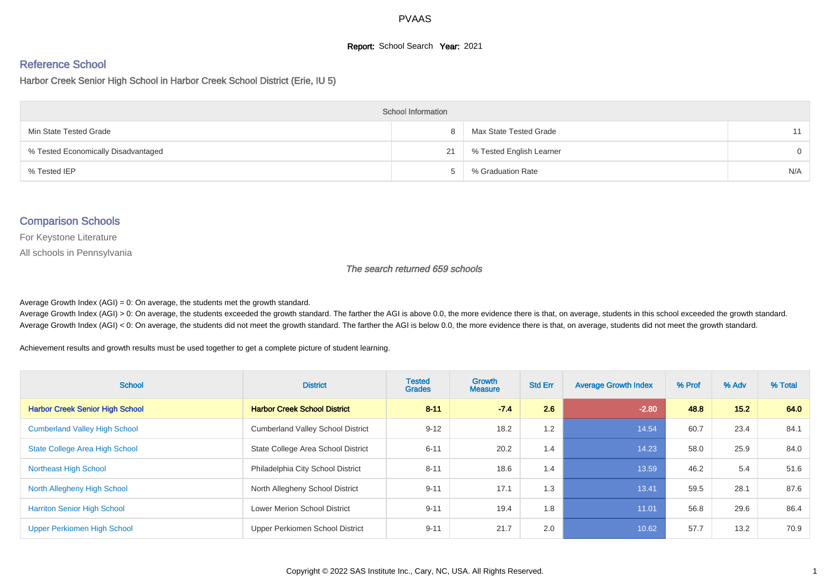## **Report:** School Search **Year:** 2021

# Reference School

Harbor Creek Senior High School in Harbor Creek School District (Erie, IU 5)

| <b>School Information</b>           |    |                          |          |  |  |  |  |  |
|-------------------------------------|----|--------------------------|----------|--|--|--|--|--|
| Min State Tested Grade              | 8  | Max State Tested Grade   | 11       |  |  |  |  |  |
| % Tested Economically Disadvantaged | 21 | % Tested English Learner | $\Omega$ |  |  |  |  |  |
| % Tested IEP                        |    | % Graduation Rate        | N/A      |  |  |  |  |  |

#### Comparison Schools

For Keystone Literature

All schools in Pennsylvania

The search returned 659 schools

Average Growth Index  $(AGI) = 0$ : On average, the students met the growth standard.

Average Growth Index (AGI) > 0: On average, the students exceeded the growth standard. The farther the AGI is above 0.0, the more evidence there is that, on average, students in this school exceeded the growth standard. Average Growth Index (AGI) < 0: On average, the students did not meet the growth standard. The farther the AGI is below 0.0, the more evidence there is that, on average, students did not meet the growth standard.

Achievement results and growth results must be used together to get a complete picture of student learning.

| <b>School</b>                          | <b>District</b>                          | <b>Tested</b><br><b>Grades</b> | Growth<br><b>Measure</b> | <b>Std Err</b> | <b>Average Growth Index</b> | % Prof | % Adv | % Total |
|----------------------------------------|------------------------------------------|--------------------------------|--------------------------|----------------|-----------------------------|--------|-------|---------|
| <b>Harbor Creek Senior High School</b> | <b>Harbor Creek School District</b>      | $8 - 11$                       | $-7.4$                   | 2.6            | $-2.80$                     | 48.8   | 15.2  | 64.0    |
| <b>Cumberland Valley High School</b>   | <b>Cumberland Valley School District</b> | $9 - 12$                       | 18.2                     | 1.2            | 14.54                       | 60.7   | 23.4  | 84.1    |
| <b>State College Area High School</b>  | State College Area School District       | $6 - 11$                       | 20.2                     | 1.4            | 14.23                       | 58.0   | 25.9  | 84.0    |
| <b>Northeast High School</b>           | Philadelphia City School District        | $8 - 11$                       | 18.6                     | 1.4            | 13.59                       | 46.2   | 5.4   | 51.6    |
| North Allegheny High School            | North Allegheny School District          | $9 - 11$                       | 17.1                     | 1.3            | 13.41                       | 59.5   | 28.1  | 87.6    |
| <b>Harriton Senior High School</b>     | <b>Lower Merion School District</b>      | $9 - 11$                       | 19.4                     | 1.8            | 11.01                       | 56.8   | 29.6  | 86.4    |
| Upper Perkiomen High School            | Upper Perkiomen School District          | $9 - 11$                       | 21.7                     | 2.0            | 10.62                       | 57.7   | 13.2  | 70.9    |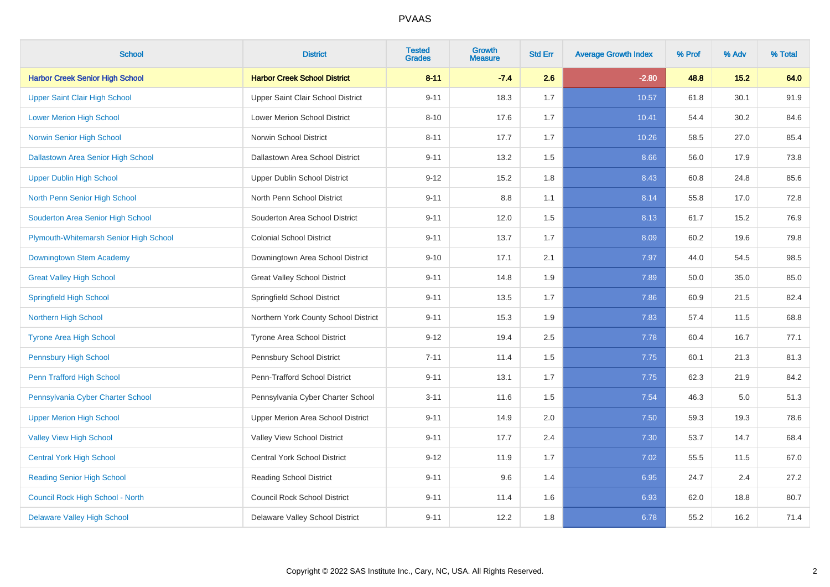| <b>School</b>                             | <b>District</b>                      | <b>Tested</b><br><b>Grades</b> | <b>Growth</b><br><b>Measure</b> | <b>Std Err</b> | <b>Average Growth Index</b> | % Prof | % Adv | % Total |
|-------------------------------------------|--------------------------------------|--------------------------------|---------------------------------|----------------|-----------------------------|--------|-------|---------|
| <b>Harbor Creek Senior High School</b>    | <b>Harbor Creek School District</b>  | $8 - 11$                       | $-7.4$                          | 2.6            | $-2.80$                     | 48.8   | 15.2  | 64.0    |
| <b>Upper Saint Clair High School</b>      | Upper Saint Clair School District    | $9 - 11$                       | 18.3                            | 1.7            | 10.57                       | 61.8   | 30.1  | 91.9    |
| <b>Lower Merion High School</b>           | Lower Merion School District         | $8 - 10$                       | 17.6                            | 1.7            | 10.41                       | 54.4   | 30.2  | 84.6    |
| <b>Norwin Senior High School</b>          | Norwin School District               | $8 - 11$                       | 17.7                            | 1.7            | 10.26                       | 58.5   | 27.0  | 85.4    |
| <b>Dallastown Area Senior High School</b> | Dallastown Area School District      | $9 - 11$                       | 13.2                            | 1.5            | 8.66                        | 56.0   | 17.9  | 73.8    |
| <b>Upper Dublin High School</b>           | <b>Upper Dublin School District</b>  | $9 - 12$                       | 15.2                            | 1.8            | 8.43                        | 60.8   | 24.8  | 85.6    |
| North Penn Senior High School             | North Penn School District           | $9 - 11$                       | 8.8                             | 1.1            | 8.14                        | 55.8   | 17.0  | 72.8    |
| Souderton Area Senior High School         | Souderton Area School District       | $9 - 11$                       | 12.0                            | 1.5            | 8.13                        | 61.7   | 15.2  | 76.9    |
| Plymouth-Whitemarsh Senior High School    | <b>Colonial School District</b>      | $9 - 11$                       | 13.7                            | 1.7            | 8.09                        | 60.2   | 19.6  | 79.8    |
| Downingtown Stem Academy                  | Downingtown Area School District     | $9 - 10$                       | 17.1                            | 2.1            | 7.97                        | 44.0   | 54.5  | 98.5    |
| <b>Great Valley High School</b>           | <b>Great Valley School District</b>  | $9 - 11$                       | 14.8                            | 1.9            | 7.89                        | 50.0   | 35.0  | 85.0    |
| <b>Springfield High School</b>            | Springfield School District          | $9 - 11$                       | 13.5                            | 1.7            | 7.86                        | 60.9   | 21.5  | 82.4    |
| <b>Northern High School</b>               | Northern York County School District | $9 - 11$                       | 15.3                            | 1.9            | 7.83                        | 57.4   | 11.5  | 68.8    |
| <b>Tyrone Area High School</b>            | Tyrone Area School District          | $9 - 12$                       | 19.4                            | 2.5            | 7.78                        | 60.4   | 16.7  | 77.1    |
| <b>Pennsbury High School</b>              | Pennsbury School District            | $7 - 11$                       | 11.4                            | 1.5            | 7.75                        | 60.1   | 21.3  | 81.3    |
| Penn Trafford High School                 | Penn-Trafford School District        | $9 - 11$                       | 13.1                            | 1.7            | 7.75                        | 62.3   | 21.9  | 84.2    |
| Pennsylvania Cyber Charter School         | Pennsylvania Cyber Charter School    | $3 - 11$                       | 11.6                            | 1.5            | 7.54                        | 46.3   | 5.0   | 51.3    |
| <b>Upper Merion High School</b>           | Upper Merion Area School District    | $9 - 11$                       | 14.9                            | 2.0            | 7.50                        | 59.3   | 19.3  | 78.6    |
| <b>Valley View High School</b>            | Valley View School District          | $9 - 11$                       | 17.7                            | 2.4            | 7.30                        | 53.7   | 14.7  | 68.4    |
| <b>Central York High School</b>           | <b>Central York School District</b>  | $9 - 12$                       | 11.9                            | 1.7            | 7.02                        | 55.5   | 11.5  | 67.0    |
| <b>Reading Senior High School</b>         | <b>Reading School District</b>       | $9 - 11$                       | 9.6                             | 1.4            | 6.95                        | 24.7   | 2.4   | 27.2    |
| Council Rock High School - North          | <b>Council Rock School District</b>  | $9 - 11$                       | 11.4                            | 1.6            | 6.93                        | 62.0   | 18.8  | 80.7    |
| <b>Delaware Valley High School</b>        | Delaware Valley School District      | $9 - 11$                       | 12.2                            | 1.8            | 6.78                        | 55.2   | 16.2  | 71.4    |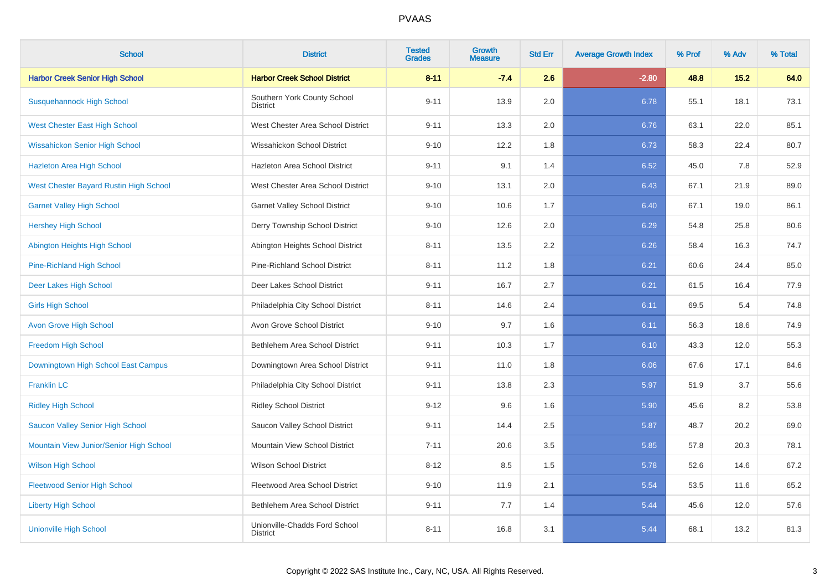| <b>School</b>                           | <b>District</b>                                  | <b>Tested</b><br><b>Grades</b> | Growth<br><b>Measure</b> | <b>Std Err</b> | <b>Average Growth Index</b> | % Prof | % Adv | % Total |
|-----------------------------------------|--------------------------------------------------|--------------------------------|--------------------------|----------------|-----------------------------|--------|-------|---------|
| <b>Harbor Creek Senior High School</b>  | <b>Harbor Creek School District</b>              | $8 - 11$                       | $-7.4$                   | 2.6            | $-2.80$                     | 48.8   | 15.2  | 64.0    |
| <b>Susquehannock High School</b>        | Southern York County School<br><b>District</b>   | $9 - 11$                       | 13.9                     | 2.0            | 6.78                        | 55.1   | 18.1  | 73.1    |
| West Chester East High School           | West Chester Area School District                | $9 - 11$                       | 13.3                     | 2.0            | 6.76                        | 63.1   | 22.0  | 85.1    |
| <b>Wissahickon Senior High School</b>   | Wissahickon School District                      | $9 - 10$                       | 12.2                     | 1.8            | 6.73                        | 58.3   | 22.4  | 80.7    |
| <b>Hazleton Area High School</b>        | Hazleton Area School District                    | $9 - 11$                       | 9.1                      | 1.4            | 6.52                        | 45.0   | 7.8   | 52.9    |
| West Chester Bayard Rustin High School  | West Chester Area School District                | $9 - 10$                       | 13.1                     | 2.0            | 6.43                        | 67.1   | 21.9  | 89.0    |
| <b>Garnet Valley High School</b>        | <b>Garnet Valley School District</b>             | $9 - 10$                       | 10.6                     | 1.7            | 6.40                        | 67.1   | 19.0  | 86.1    |
| <b>Hershey High School</b>              | Derry Township School District                   | $9 - 10$                       | 12.6                     | 2.0            | 6.29                        | 54.8   | 25.8  | 80.6    |
| Abington Heights High School            | Abington Heights School District                 | $8 - 11$                       | 13.5                     | 2.2            | 6.26                        | 58.4   | 16.3  | 74.7    |
| <b>Pine-Richland High School</b>        | Pine-Richland School District                    | $8 - 11$                       | 11.2                     | 1.8            | 6.21                        | 60.6   | 24.4  | 85.0    |
| Deer Lakes High School                  | Deer Lakes School District                       | $9 - 11$                       | 16.7                     | 2.7            | 6.21                        | 61.5   | 16.4  | 77.9    |
| <b>Girls High School</b>                | Philadelphia City School District                | $8 - 11$                       | 14.6                     | 2.4            | 6.11                        | 69.5   | 5.4   | 74.8    |
| <b>Avon Grove High School</b>           | Avon Grove School District                       | $9 - 10$                       | 9.7                      | 1.6            | 6.11                        | 56.3   | 18.6  | 74.9    |
| <b>Freedom High School</b>              | Bethlehem Area School District                   | $9 - 11$                       | 10.3                     | 1.7            | 6.10                        | 43.3   | 12.0  | 55.3    |
| Downingtown High School East Campus     | Downingtown Area School District                 | $9 - 11$                       | 11.0                     | 1.8            | 6.06                        | 67.6   | 17.1  | 84.6    |
| <b>Franklin LC</b>                      | Philadelphia City School District                | $9 - 11$                       | 13.8                     | 2.3            | 5.97                        | 51.9   | 3.7   | 55.6    |
| <b>Ridley High School</b>               | <b>Ridley School District</b>                    | $9 - 12$                       | 9.6                      | 1.6            | 5.90                        | 45.6   | 8.2   | 53.8    |
| Saucon Valley Senior High School        | Saucon Valley School District                    | $9 - 11$                       | 14.4                     | 2.5            | 5.87                        | 48.7   | 20.2  | 69.0    |
| Mountain View Junior/Senior High School | Mountain View School District                    | $7 - 11$                       | 20.6                     | 3.5            | 5.85                        | 57.8   | 20.3  | 78.1    |
| <b>Wilson High School</b>               | <b>Wilson School District</b>                    | $8 - 12$                       | 8.5                      | 1.5            | 5.78                        | 52.6   | 14.6  | 67.2    |
| <b>Fleetwood Senior High School</b>     | Fleetwood Area School District                   | $9 - 10$                       | 11.9                     | 2.1            | 5.54                        | 53.5   | 11.6  | 65.2    |
| <b>Liberty High School</b>              | Bethlehem Area School District                   | $9 - 11$                       | 7.7                      | 1.4            | 5.44                        | 45.6   | 12.0  | 57.6    |
| <b>Unionville High School</b>           | Unionville-Chadds Ford School<br><b>District</b> | $8 - 11$                       | 16.8                     | 3.1            | 5.44                        | 68.1   | 13.2  | 81.3    |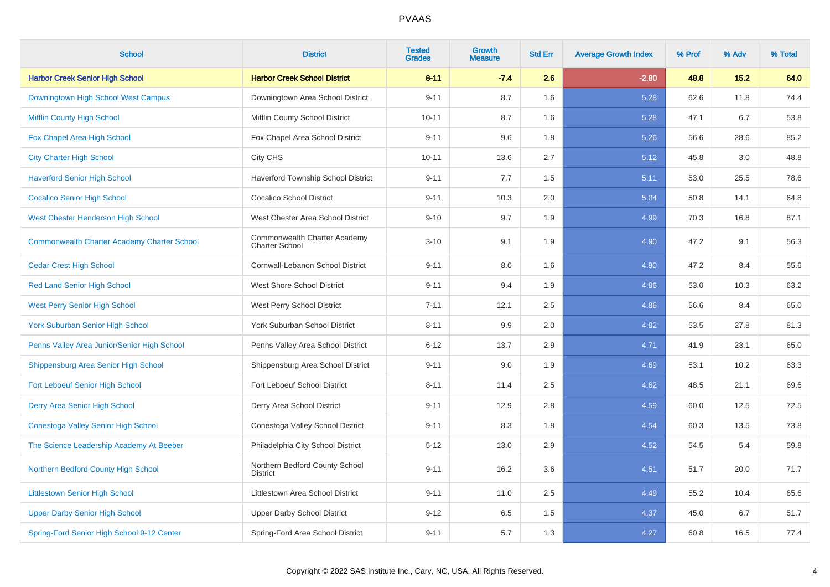| <b>School</b>                                      | <b>District</b>                                       | <b>Tested</b><br><b>Grades</b> | Growth<br><b>Measure</b> | <b>Std Err</b> | <b>Average Growth Index</b> | % Prof | % Adv | % Total |
|----------------------------------------------------|-------------------------------------------------------|--------------------------------|--------------------------|----------------|-----------------------------|--------|-------|---------|
| <b>Harbor Creek Senior High School</b>             | <b>Harbor Creek School District</b>                   | $8 - 11$                       | $-7.4$                   | 2.6            | $-2.80$                     | 48.8   | 15.2  | 64.0    |
| Downingtown High School West Campus                | Downingtown Area School District                      | $9 - 11$                       | 8.7                      | 1.6            | 5.28                        | 62.6   | 11.8  | 74.4    |
| <b>Mifflin County High School</b>                  | Mifflin County School District                        | $10 - 11$                      | 8.7                      | 1.6            | 5.28                        | 47.1   | 6.7   | 53.8    |
| Fox Chapel Area High School                        | Fox Chapel Area School District                       | $9 - 11$                       | 9.6                      | 1.8            | 5.26                        | 56.6   | 28.6  | 85.2    |
| <b>City Charter High School</b>                    | City CHS                                              | $10 - 11$                      | 13.6                     | 2.7            | 5.12                        | 45.8   | 3.0   | 48.8    |
| <b>Haverford Senior High School</b>                | Haverford Township School District                    | $9 - 11$                       | 7.7                      | 1.5            | 5.11                        | 53.0   | 25.5  | 78.6    |
| <b>Cocalico Senior High School</b>                 | <b>Cocalico School District</b>                       | $9 - 11$                       | 10.3                     | 2.0            | 5.04                        | 50.8   | 14.1  | 64.8    |
| <b>West Chester Henderson High School</b>          | West Chester Area School District                     | $9 - 10$                       | 9.7                      | 1.9            | 4.99                        | 70.3   | 16.8  | 87.1    |
| <b>Commonwealth Charter Academy Charter School</b> | Commonwealth Charter Academy<br><b>Charter School</b> | $3 - 10$                       | 9.1                      | 1.9            | 4.90                        | 47.2   | 9.1   | 56.3    |
| <b>Cedar Crest High School</b>                     | Cornwall-Lebanon School District                      | $9 - 11$                       | 8.0                      | 1.6            | 4.90                        | 47.2   | 8.4   | 55.6    |
| <b>Red Land Senior High School</b>                 | <b>West Shore School District</b>                     | $9 - 11$                       | 9.4                      | 1.9            | 4.86                        | 53.0   | 10.3  | 63.2    |
| <b>West Perry Senior High School</b>               | West Perry School District                            | $7 - 11$                       | 12.1                     | 2.5            | 4.86                        | 56.6   | 8.4   | 65.0    |
| <b>York Suburban Senior High School</b>            | York Suburban School District                         | $8 - 11$                       | 9.9                      | 2.0            | 4.82                        | 53.5   | 27.8  | 81.3    |
| Penns Valley Area Junior/Senior High School        | Penns Valley Area School District                     | $6 - 12$                       | 13.7                     | 2.9            | 4.71                        | 41.9   | 23.1  | 65.0    |
| Shippensburg Area Senior High School               | Shippensburg Area School District                     | $9 - 11$                       | 9.0                      | 1.9            | 4.69                        | 53.1   | 10.2  | 63.3    |
| <b>Fort Leboeuf Senior High School</b>             | Fort Leboeuf School District                          | $8 - 11$                       | 11.4                     | 2.5            | 4.62                        | 48.5   | 21.1  | 69.6    |
| Derry Area Senior High School                      | Derry Area School District                            | $9 - 11$                       | 12.9                     | 2.8            | 4.59                        | 60.0   | 12.5  | 72.5    |
| Conestoga Valley Senior High School                | Conestoga Valley School District                      | $9 - 11$                       | 8.3                      | 1.8            | 4.54                        | 60.3   | 13.5  | 73.8    |
| The Science Leadership Academy At Beeber           | Philadelphia City School District                     | $5 - 12$                       | 13.0                     | 2.9            | 4.52                        | 54.5   | 5.4   | 59.8    |
| Northern Bedford County High School                | Northern Bedford County School<br><b>District</b>     | $9 - 11$                       | 16.2                     | 3.6            | 4.51                        | 51.7   | 20.0  | 71.7    |
| <b>Littlestown Senior High School</b>              | Littlestown Area School District                      | $9 - 11$                       | 11.0                     | 2.5            | 4.49                        | 55.2   | 10.4  | 65.6    |
| <b>Upper Darby Senior High School</b>              | <b>Upper Darby School District</b>                    | $9 - 12$                       | 6.5                      | 1.5            | 4.37                        | 45.0   | 6.7   | 51.7    |
| Spring-Ford Senior High School 9-12 Center         | Spring-Ford Area School District                      | $9 - 11$                       | 5.7                      | 1.3            | 4.27                        | 60.8   | 16.5  | 77.4    |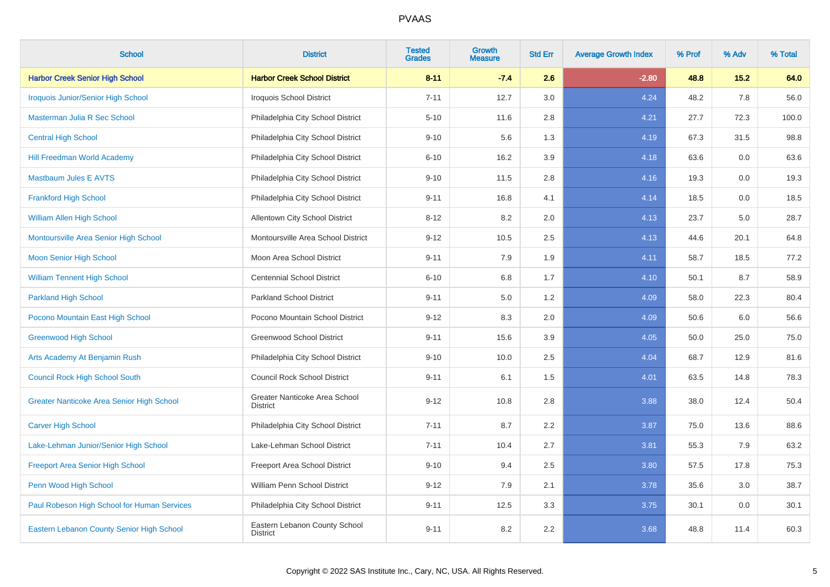| <b>School</b>                               | <b>District</b>                                  | <b>Tested</b><br><b>Grades</b> | Growth<br><b>Measure</b> | <b>Std Err</b> | <b>Average Growth Index</b> | % Prof | % Adv | % Total |
|---------------------------------------------|--------------------------------------------------|--------------------------------|--------------------------|----------------|-----------------------------|--------|-------|---------|
| <b>Harbor Creek Senior High School</b>      | <b>Harbor Creek School District</b>              | $8 - 11$                       | $-7.4$                   | 2.6            | $-2.80$                     | 48.8   | 15.2  | 64.0    |
| <b>Iroquois Junior/Senior High School</b>   | Iroquois School District                         | $7 - 11$                       | 12.7                     | 3.0            | 4.24                        | 48.2   | 7.8   | 56.0    |
| Masterman Julia R Sec School                | Philadelphia City School District                | $5 - 10$                       | 11.6                     | 2.8            | 4.21                        | 27.7   | 72.3  | 100.0   |
| <b>Central High School</b>                  | Philadelphia City School District                | $9 - 10$                       | 5.6                      | 1.3            | 4.19                        | 67.3   | 31.5  | 98.8    |
| <b>Hill Freedman World Academy</b>          | Philadelphia City School District                | $6 - 10$                       | 16.2                     | 3.9            | 4.18                        | 63.6   | 0.0   | 63.6    |
| <b>Mastbaum Jules E AVTS</b>                | Philadelphia City School District                | $9 - 10$                       | 11.5                     | 2.8            | 4.16                        | 19.3   | 0.0   | 19.3    |
| <b>Frankford High School</b>                | Philadelphia City School District                | $9 - 11$                       | 16.8                     | 4.1            | 4.14                        | 18.5   | 0.0   | 18.5    |
| William Allen High School                   | <b>Allentown City School District</b>            | $8 - 12$                       | 8.2                      | 2.0            | 4.13                        | 23.7   | 5.0   | 28.7    |
| Montoursville Area Senior High School       | Montoursville Area School District               | $9 - 12$                       | 10.5                     | 2.5            | 4.13                        | 44.6   | 20.1  | 64.8    |
| <b>Moon Senior High School</b>              | Moon Area School District                        | $9 - 11$                       | 7.9                      | 1.9            | 4.11                        | 58.7   | 18.5  | 77.2    |
| <b>William Tennent High School</b>          | <b>Centennial School District</b>                | $6 - 10$                       | 6.8                      | 1.7            | 4.10                        | 50.1   | 8.7   | 58.9    |
| <b>Parkland High School</b>                 | <b>Parkland School District</b>                  | $9 - 11$                       | 5.0                      | 1.2            | 4.09                        | 58.0   | 22.3  | 80.4    |
| Pocono Mountain East High School            | Pocono Mountain School District                  | $9 - 12$                       | 8.3                      | 2.0            | 4.09                        | 50.6   | 6.0   | 56.6    |
| <b>Greenwood High School</b>                | <b>Greenwood School District</b>                 | $9 - 11$                       | 15.6                     | 3.9            | 4.05                        | 50.0   | 25.0  | 75.0    |
| Arts Academy At Benjamin Rush               | Philadelphia City School District                | $9 - 10$                       | 10.0                     | 2.5            | 4.04                        | 68.7   | 12.9  | 81.6    |
| <b>Council Rock High School South</b>       | <b>Council Rock School District</b>              | $9 - 11$                       | 6.1                      | 1.5            | 4.01                        | 63.5   | 14.8  | 78.3    |
| Greater Nanticoke Area Senior High School   | Greater Nanticoke Area School<br><b>District</b> | $9 - 12$                       | 10.8                     | 2.8            | 3.88                        | 38.0   | 12.4  | 50.4    |
| <b>Carver High School</b>                   | Philadelphia City School District                | $7 - 11$                       | 8.7                      | 2.2            | 3.87                        | 75.0   | 13.6  | 88.6    |
| Lake-Lehman Junior/Senior High School       | Lake-Lehman School District                      | $7 - 11$                       | 10.4                     | 2.7            | 3.81                        | 55.3   | 7.9   | 63.2    |
| <b>Freeport Area Senior High School</b>     | Freeport Area School District                    | $9 - 10$                       | 9.4                      | 2.5            | 3.80                        | 57.5   | 17.8  | 75.3    |
| Penn Wood High School                       | William Penn School District                     | $9 - 12$                       | 7.9                      | 2.1            | 3.78                        | 35.6   | 3.0   | 38.7    |
| Paul Robeson High School for Human Services | Philadelphia City School District                | $9 - 11$                       | 12.5                     | 3.3            | 3.75                        | 30.1   | 0.0   | 30.1    |
| Eastern Lebanon County Senior High School   | Eastern Lebanon County School<br><b>District</b> | $9 - 11$                       | 8.2                      | 2.2            | 3.68                        | 48.8   | 11.4  | 60.3    |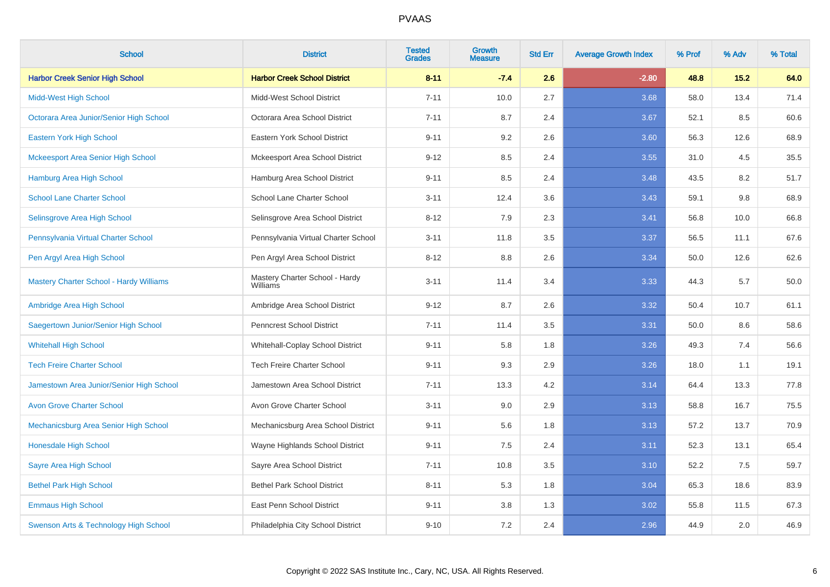| <b>School</b>                                  | <b>District</b>                                   | <b>Tested</b><br><b>Grades</b> | <b>Growth</b><br><b>Measure</b> | <b>Std Err</b> | <b>Average Growth Index</b> | % Prof | % Adv | % Total |
|------------------------------------------------|---------------------------------------------------|--------------------------------|---------------------------------|----------------|-----------------------------|--------|-------|---------|
| <b>Harbor Creek Senior High School</b>         | <b>Harbor Creek School District</b>               | $8 - 11$                       | $-7.4$                          | 2.6            | $-2.80$                     | 48.8   | 15.2  | 64.0    |
| <b>Midd-West High School</b>                   | Midd-West School District                         | $7 - 11$                       | 10.0                            | 2.7            | 3.68                        | 58.0   | 13.4  | 71.4    |
| Octorara Area Junior/Senior High School        | Octorara Area School District                     | $7 - 11$                       | 8.7                             | 2.4            | 3.67                        | 52.1   | 8.5   | 60.6    |
| <b>Eastern York High School</b>                | Eastern York School District                      | $9 - 11$                       | 9.2                             | 2.6            | 3.60                        | 56.3   | 12.6  | 68.9    |
| <b>Mckeesport Area Senior High School</b>      | Mckeesport Area School District                   | $9 - 12$                       | 8.5                             | 2.4            | 3.55                        | 31.0   | 4.5   | 35.5    |
| <b>Hamburg Area High School</b>                | Hamburg Area School District                      | $9 - 11$                       | 8.5                             | 2.4            | 3.48                        | 43.5   | 8.2   | 51.7    |
| <b>School Lane Charter School</b>              | School Lane Charter School                        | $3 - 11$                       | 12.4                            | 3.6            | 3.43                        | 59.1   | 9.8   | 68.9    |
| Selinsgrove Area High School                   | Selinsgrove Area School District                  | $8 - 12$                       | 7.9                             | 2.3            | 3.41                        | 56.8   | 10.0  | 66.8    |
| Pennsylvania Virtual Charter School            | Pennsylvania Virtual Charter School               | $3 - 11$                       | 11.8                            | 3.5            | 3.37                        | 56.5   | 11.1  | 67.6    |
| Pen Argyl Area High School                     | Pen Argyl Area School District                    | $8 - 12$                       | 8.8                             | 2.6            | 3.34                        | 50.0   | 12.6  | 62.6    |
| <b>Mastery Charter School - Hardy Williams</b> | Mastery Charter School - Hardy<br><b>Williams</b> | $3 - 11$                       | 11.4                            | 3.4            | 3.33                        | 44.3   | 5.7   | 50.0    |
| Ambridge Area High School                      | Ambridge Area School District                     | $9 - 12$                       | 8.7                             | 2.6            | 3.32                        | 50.4   | 10.7  | 61.1    |
| Saegertown Junior/Senior High School           | Penncrest School District                         | $7 - 11$                       | 11.4                            | 3.5            | 3.31                        | 50.0   | 8.6   | 58.6    |
| <b>Whitehall High School</b>                   | Whitehall-Coplay School District                  | $9 - 11$                       | 5.8                             | 1.8            | 3.26                        | 49.3   | 7.4   | 56.6    |
| <b>Tech Freire Charter School</b>              | <b>Tech Freire Charter School</b>                 | $9 - 11$                       | 9.3                             | 2.9            | 3.26                        | 18.0   | 1.1   | 19.1    |
| Jamestown Area Junior/Senior High School       | Jamestown Area School District                    | $7 - 11$                       | 13.3                            | 4.2            | 3.14                        | 64.4   | 13.3  | 77.8    |
| <b>Avon Grove Charter School</b>               | Avon Grove Charter School                         | $3 - 11$                       | 9.0                             | 2.9            | 3.13                        | 58.8   | 16.7  | 75.5    |
| Mechanicsburg Area Senior High School          | Mechanicsburg Area School District                | $9 - 11$                       | 5.6                             | 1.8            | 3.13                        | 57.2   | 13.7  | 70.9    |
| <b>Honesdale High School</b>                   | Wayne Highlands School District                   | $9 - 11$                       | 7.5                             | 2.4            | 3.11                        | 52.3   | 13.1  | 65.4    |
| <b>Sayre Area High School</b>                  | Sayre Area School District                        | $7 - 11$                       | 10.8                            | 3.5            | 3.10                        | 52.2   | 7.5   | 59.7    |
| <b>Bethel Park High School</b>                 | <b>Bethel Park School District</b>                | $8 - 11$                       | 5.3                             | 1.8            | 3.04                        | 65.3   | 18.6  | 83.9    |
| <b>Emmaus High School</b>                      | East Penn School District                         | $9 - 11$                       | 3.8                             | 1.3            | 3.02                        | 55.8   | 11.5  | 67.3    |
| Swenson Arts & Technology High School          | Philadelphia City School District                 | $9 - 10$                       | 7.2                             | 2.4            | 2.96                        | 44.9   | 2.0   | 46.9    |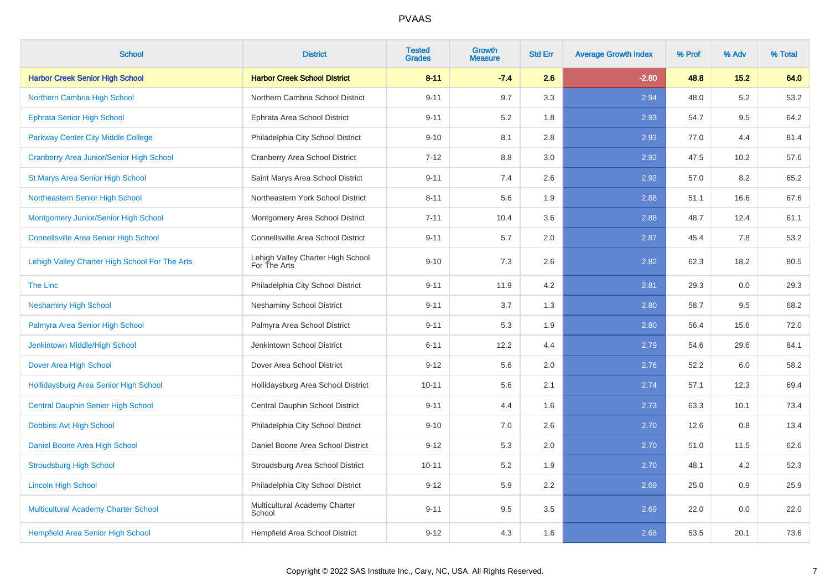| <b>School</b>                                   | <b>District</b>                                   | <b>Tested</b><br><b>Grades</b> | <b>Growth</b><br><b>Measure</b> | <b>Std Err</b> | <b>Average Growth Index</b> | % Prof | % Adv | % Total |
|-------------------------------------------------|---------------------------------------------------|--------------------------------|---------------------------------|----------------|-----------------------------|--------|-------|---------|
| <b>Harbor Creek Senior High School</b>          | <b>Harbor Creek School District</b>               | $8 - 11$                       | $-7.4$                          | 2.6            | $-2.80$                     | 48.8   | 15.2  | 64.0    |
| Northern Cambria High School                    | Northern Cambria School District                  | $9 - 11$                       | 9.7                             | 3.3            | 2.94                        | 48.0   | 5.2   | 53.2    |
| <b>Ephrata Senior High School</b>               | Ephrata Area School District                      | $9 - 11$                       | 5.2                             | 1.8            | 2.93                        | 54.7   | 9.5   | 64.2    |
| Parkway Center City Middle College              | Philadelphia City School District                 | $9 - 10$                       | 8.1                             | 2.8            | 2.93                        | 77.0   | 4.4   | 81.4    |
| <b>Cranberry Area Junior/Senior High School</b> | Cranberry Area School District                    | $7 - 12$                       | 8.8                             | 3.0            | 2.92                        | 47.5   | 10.2  | 57.6    |
| <b>St Marys Area Senior High School</b>         | Saint Marys Area School District                  | $9 - 11$                       | 7.4                             | 2.6            | 2.92                        | 57.0   | 8.2   | 65.2    |
| Northeastern Senior High School                 | Northeastern York School District                 | $8 - 11$                       | 5.6                             | 1.9            | 2.88                        | 51.1   | 16.6  | 67.6    |
| Montgomery Junior/Senior High School            | Montgomery Area School District                   | $7 - 11$                       | 10.4                            | 3.6            | 2.88                        | 48.7   | 12.4  | 61.1    |
| <b>Connellsville Area Senior High School</b>    | Connellsville Area School District                | $9 - 11$                       | 5.7                             | 2.0            | 2.87                        | 45.4   | 7.8   | 53.2    |
| Lehigh Valley Charter High School For The Arts  | Lehigh Valley Charter High School<br>For The Arts | $9 - 10$                       | 7.3                             | 2.6            | 2.82                        | 62.3   | 18.2  | 80.5    |
| The Linc                                        | Philadelphia City School District                 | $9 - 11$                       | 11.9                            | 4.2            | 2.81                        | 29.3   | 0.0   | 29.3    |
| <b>Neshaminy High School</b>                    | <b>Neshaminy School District</b>                  | $9 - 11$                       | 3.7                             | 1.3            | 2.80                        | 58.7   | 9.5   | 68.2    |
| Palmyra Area Senior High School                 | Palmyra Area School District                      | $9 - 11$                       | 5.3                             | 1.9            | 2.80                        | 56.4   | 15.6  | 72.0    |
| Jenkintown Middle/High School                   | Jenkintown School District                        | $6 - 11$                       | 12.2                            | 4.4            | 2.79                        | 54.6   | 29.6  | 84.1    |
| Dover Area High School                          | Dover Area School District                        | $9 - 12$                       | 5.6                             | 2.0            | 2.76                        | 52.2   | 6.0   | 58.2    |
| Hollidaysburg Area Senior High School           | Hollidaysburg Area School District                | $10 - 11$                      | 5.6                             | 2.1            | 2.74                        | 57.1   | 12.3  | 69.4    |
| <b>Central Dauphin Senior High School</b>       | Central Dauphin School District                   | $9 - 11$                       | 4.4                             | 1.6            | 2.73                        | 63.3   | 10.1  | 73.4    |
| Dobbins Avt High School                         | Philadelphia City School District                 | $9 - 10$                       | 7.0                             | 2.6            | 2.70                        | 12.6   | 0.8   | 13.4    |
| Daniel Boone Area High School                   | Daniel Boone Area School District                 | $9 - 12$                       | 5.3                             | 2.0            | 2.70                        | 51.0   | 11.5  | 62.6    |
| <b>Stroudsburg High School</b>                  | Stroudsburg Area School District                  | $10 - 11$                      | 5.2                             | 1.9            | 2.70                        | 48.1   | 4.2   | 52.3    |
| <b>Lincoln High School</b>                      | Philadelphia City School District                 | $9 - 12$                       | 5.9                             | $2.2\,$        | 2.69                        | 25.0   | 0.9   | 25.9    |
| <b>Multicultural Academy Charter School</b>     | Multicultural Academy Charter<br>School           | $9 - 11$                       | 9.5                             | 3.5            | 2.69                        | 22.0   | 0.0   | 22.0    |
| <b>Hempfield Area Senior High School</b>        | Hempfield Area School District                    | $9 - 12$                       | 4.3                             | 1.6            | 2.68                        | 53.5   | 20.1  | 73.6    |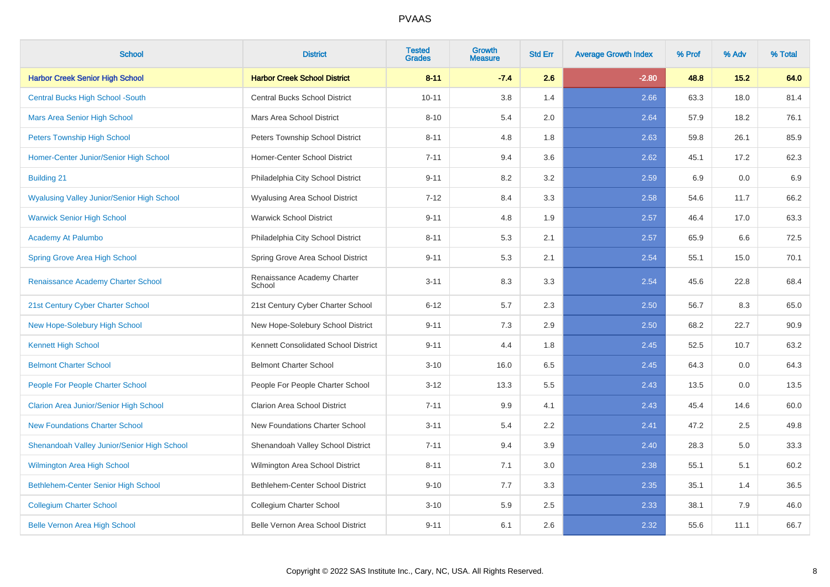| <b>School</b>                                     | <b>District</b>                       | <b>Tested</b><br><b>Grades</b> | Growth<br><b>Measure</b> | <b>Std Err</b> | <b>Average Growth Index</b> | % Prof | % Adv | % Total |
|---------------------------------------------------|---------------------------------------|--------------------------------|--------------------------|----------------|-----------------------------|--------|-------|---------|
| <b>Harbor Creek Senior High School</b>            | <b>Harbor Creek School District</b>   | $8 - 11$                       | $-7.4$                   | 2.6            | $-2.80$                     | 48.8   | 15.2  | 64.0    |
| <b>Central Bucks High School -South</b>           | Central Bucks School District         | $10 - 11$                      | 3.8                      | 1.4            | 2.66                        | 63.3   | 18.0  | 81.4    |
| Mars Area Senior High School                      | Mars Area School District             | $8 - 10$                       | 5.4                      | 2.0            | 2.64                        | 57.9   | 18.2  | 76.1    |
| <b>Peters Township High School</b>                | Peters Township School District       | $8 - 11$                       | 4.8                      | 1.8            | 2.63                        | 59.8   | 26.1  | 85.9    |
| Homer-Center Junior/Senior High School            | <b>Homer-Center School District</b>   | $7 - 11$                       | 9.4                      | 3.6            | 2.62                        | 45.1   | 17.2  | 62.3    |
| <b>Building 21</b>                                | Philadelphia City School District     | $9 - 11$                       | 8.2                      | 3.2            | 2.59                        | 6.9    | 0.0   | 6.9     |
| <b>Wyalusing Valley Junior/Senior High School</b> | Wyalusing Area School District        | $7 - 12$                       | 8.4                      | 3.3            | 2.58                        | 54.6   | 11.7  | 66.2    |
| <b>Warwick Senior High School</b>                 | <b>Warwick School District</b>        | $9 - 11$                       | 4.8                      | 1.9            | 2.57                        | 46.4   | 17.0  | 63.3    |
| Academy At Palumbo                                | Philadelphia City School District     | $8 - 11$                       | 5.3                      | 2.1            | 2.57                        | 65.9   | 6.6   | 72.5    |
| Spring Grove Area High School                     | Spring Grove Area School District     | $9 - 11$                       | 5.3                      | 2.1            | 2.54                        | 55.1   | 15.0  | 70.1    |
| Renaissance Academy Charter School                | Renaissance Academy Charter<br>School | $3 - 11$                       | 8.3                      | 3.3            | 2.54                        | 45.6   | 22.8  | 68.4    |
| 21st Century Cyber Charter School                 | 21st Century Cyber Charter School     | $6 - 12$                       | 5.7                      | 2.3            | 2.50                        | 56.7   | 8.3   | 65.0    |
| New Hope-Solebury High School                     | New Hope-Solebury School District     | $9 - 11$                       | 7.3                      | 2.9            | 2.50                        | 68.2   | 22.7  | 90.9    |
| <b>Kennett High School</b>                        | Kennett Consolidated School District  | $9 - 11$                       | 4.4                      | 1.8            | 2.45                        | 52.5   | 10.7  | 63.2    |
| <b>Belmont Charter School</b>                     | <b>Belmont Charter School</b>         | $3 - 10$                       | 16.0                     | 6.5            | 2.45                        | 64.3   | 0.0   | 64.3    |
| People For People Charter School                  | People For People Charter School      | $3 - 12$                       | 13.3                     | 5.5            | 2.43                        | 13.5   | 0.0   | 13.5    |
| <b>Clarion Area Junior/Senior High School</b>     | <b>Clarion Area School District</b>   | $7 - 11$                       | 9.9                      | 4.1            | 2.43                        | 45.4   | 14.6  | 60.0    |
| <b>New Foundations Charter School</b>             | New Foundations Charter School        | $3 - 11$                       | 5.4                      | 2.2            | 2.41                        | 47.2   | 2.5   | 49.8    |
| Shenandoah Valley Junior/Senior High School       | Shenandoah Valley School District     | $7 - 11$                       | 9.4                      | 3.9            | 2.40                        | 28.3   | 5.0   | 33.3    |
| Wilmington Area High School                       | Wilmington Area School District       | $8 - 11$                       | 7.1                      | 3.0            | 2.38                        | 55.1   | 5.1   | 60.2    |
| Bethlehem-Center Senior High School               | Bethlehem-Center School District      | $9 - 10$                       | 7.7                      | 3.3            | 2.35                        | 35.1   | 1.4   | 36.5    |
| <b>Collegium Charter School</b>                   | Collegium Charter School              | $3 - 10$                       | 5.9                      | 2.5            | 2.33                        | 38.1   | 7.9   | 46.0    |
| <b>Belle Vernon Area High School</b>              | Belle Vernon Area School District     | $9 - 11$                       | 6.1                      | 2.6            | 2.32                        | 55.6   | 11.1  | 66.7    |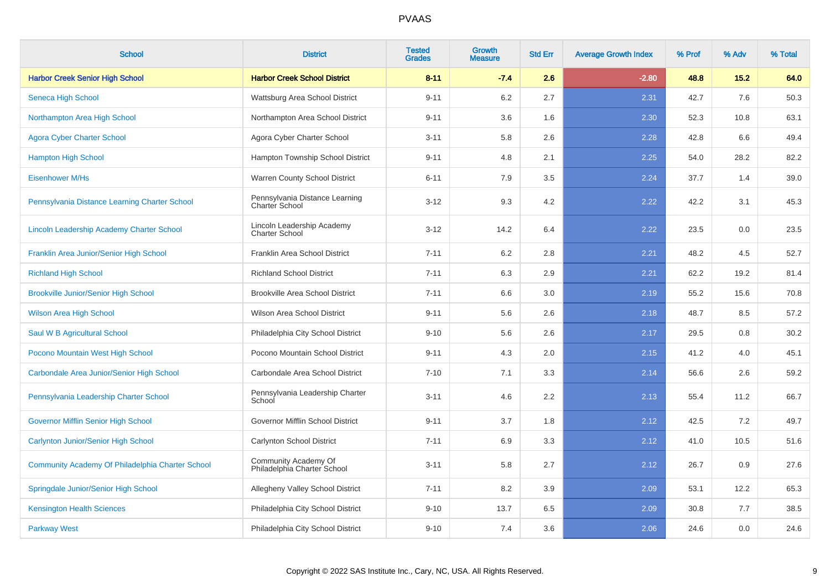| <b>School</b>                                    | <b>District</b>                                         | <b>Tested</b><br><b>Grades</b> | Growth<br><b>Measure</b> | <b>Std Err</b> | <b>Average Growth Index</b> | % Prof | % Adv | % Total |
|--------------------------------------------------|---------------------------------------------------------|--------------------------------|--------------------------|----------------|-----------------------------|--------|-------|---------|
| <b>Harbor Creek Senior High School</b>           | <b>Harbor Creek School District</b>                     | $8 - 11$                       | $-7.4$                   | 2.6            | $-2.80$                     | 48.8   | 15.2  | 64.0    |
| Seneca High School                               | Wattsburg Area School District                          | $9 - 11$                       | 6.2                      | 2.7            | 2.31                        | 42.7   | 7.6   | 50.3    |
| Northampton Area High School                     | Northampton Area School District                        | $9 - 11$                       | 3.6                      | 1.6            | 2.30                        | 52.3   | 10.8  | 63.1    |
| <b>Agora Cyber Charter School</b>                | Agora Cyber Charter School                              | $3 - 11$                       | 5.8                      | 2.6            | 2.28                        | 42.8   | 6.6   | 49.4    |
| <b>Hampton High School</b>                       | Hampton Township School District                        | $9 - 11$                       | 4.8                      | 2.1            | 2.25                        | 54.0   | 28.2  | 82.2    |
| <b>Eisenhower M/Hs</b>                           | Warren County School District                           | $6 - 11$                       | 7.9                      | 3.5            | 2.24                        | 37.7   | 1.4   | 39.0    |
| Pennsylvania Distance Learning Charter School    | Pennsylvania Distance Learning<br><b>Charter School</b> | $3 - 12$                       | 9.3                      | 4.2            | 2.22                        | 42.2   | 3.1   | 45.3    |
| Lincoln Leadership Academy Charter School        | Lincoln Leadership Academy<br><b>Charter School</b>     | $3 - 12$                       | 14.2                     | 6.4            | 2.22                        | 23.5   | 0.0   | 23.5    |
| Franklin Area Junior/Senior High School          | Franklin Area School District                           | $7 - 11$                       | 6.2                      | 2.8            | 2.21                        | 48.2   | 4.5   | 52.7    |
| <b>Richland High School</b>                      | <b>Richland School District</b>                         | $7 - 11$                       | 6.3                      | 2.9            | 2.21                        | 62.2   | 19.2  | 81.4    |
| <b>Brookville Junior/Senior High School</b>      | <b>Brookville Area School District</b>                  | $7 - 11$                       | 6.6                      | 3.0            | 2.19                        | 55.2   | 15.6  | 70.8    |
| <b>Wilson Area High School</b>                   | Wilson Area School District                             | $9 - 11$                       | 5.6                      | 2.6            | 2.18                        | 48.7   | 8.5   | 57.2    |
| Saul W B Agricultural School                     | Philadelphia City School District                       | $9 - 10$                       | 5.6                      | 2.6            | 2.17                        | 29.5   | 0.8   | 30.2    |
| Pocono Mountain West High School                 | Pocono Mountain School District                         | $9 - 11$                       | 4.3                      | 2.0            | 2.15                        | 41.2   | 4.0   | 45.1    |
| Carbondale Area Junior/Senior High School        | Carbondale Area School District                         | $7 - 10$                       | 7.1                      | 3.3            | 2.14                        | 56.6   | 2.6   | 59.2    |
| Pennsylvania Leadership Charter School           | Pennsylvania Leadership Charter<br>School               | $3 - 11$                       | 4.6                      | 2.2            | 2.13                        | 55.4   | 11.2  | 66.7    |
| <b>Governor Mifflin Senior High School</b>       | Governor Mifflin School District                        | $9 - 11$                       | 3.7                      | 1.8            | 2.12                        | 42.5   | 7.2   | 49.7    |
| <b>Carlynton Junior/Senior High School</b>       | Carlynton School District                               | $7 - 11$                       | 6.9                      | 3.3            | 2.12                        | 41.0   | 10.5  | 51.6    |
| Community Academy Of Philadelphia Charter School | Community Academy Of<br>Philadelphia Charter School     | $3 - 11$                       | 5.8                      | 2.7            | 2.12                        | 26.7   | 0.9   | 27.6    |
| Springdale Junior/Senior High School             | Allegheny Valley School District                        | $7 - 11$                       | 8.2                      | 3.9            | 2.09                        | 53.1   | 12.2  | 65.3    |
| <b>Kensington Health Sciences</b>                | Philadelphia City School District                       | $9 - 10$                       | 13.7                     | 6.5            | 2.09                        | 30.8   | 7.7   | 38.5    |
| <b>Parkway West</b>                              | Philadelphia City School District                       | $9 - 10$                       | 7.4                      | 3.6            | 2.06                        | 24.6   | 0.0   | 24.6    |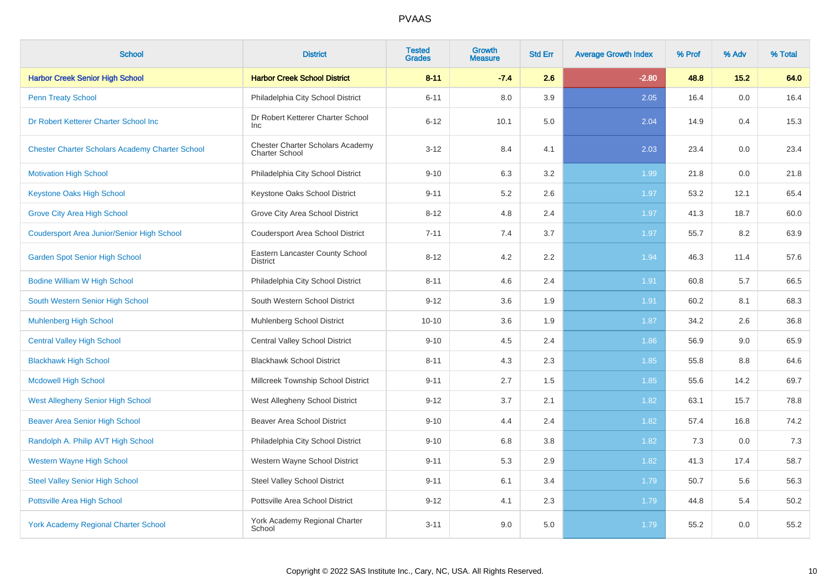| <b>School</b>                                          | <b>District</b>                                           | <b>Tested</b><br><b>Grades</b> | <b>Growth</b><br><b>Measure</b> | <b>Std Err</b> | <b>Average Growth Index</b> | % Prof | % Adv | % Total |
|--------------------------------------------------------|-----------------------------------------------------------|--------------------------------|---------------------------------|----------------|-----------------------------|--------|-------|---------|
| <b>Harbor Creek Senior High School</b>                 | <b>Harbor Creek School District</b>                       | $8 - 11$                       | $-7.4$                          | 2.6            | $-2.80$                     | 48.8   | 15.2  | 64.0    |
| <b>Penn Treaty School</b>                              | Philadelphia City School District                         | $6 - 11$                       | 8.0                             | 3.9            | 2.05                        | 16.4   | 0.0   | 16.4    |
| Dr Robert Ketterer Charter School Inc                  | Dr Robert Ketterer Charter School<br><b>Inc</b>           | $6 - 12$                       | 10.1                            | 5.0            | 2.04                        | 14.9   | 0.4   | 15.3    |
| <b>Chester Charter Scholars Academy Charter School</b> | Chester Charter Scholars Academy<br><b>Charter School</b> | $3 - 12$                       | 8.4                             | 4.1            | 2.03                        | 23.4   | 0.0   | 23.4    |
| <b>Motivation High School</b>                          | Philadelphia City School District                         | $9 - 10$                       | 6.3                             | 3.2            | 1.99                        | 21.8   | 0.0   | 21.8    |
| <b>Keystone Oaks High School</b>                       | Keystone Oaks School District                             | $9 - 11$                       | 5.2                             | 2.6            | 1.97                        | 53.2   | 12.1  | 65.4    |
| <b>Grove City Area High School</b>                     | Grove City Area School District                           | $8 - 12$                       | 4.8                             | 2.4            | 1.97                        | 41.3   | 18.7  | 60.0    |
| <b>Coudersport Area Junior/Senior High School</b>      | <b>Coudersport Area School District</b>                   | $7 - 11$                       | 7.4                             | 3.7            | 1.97                        | 55.7   | 8.2   | 63.9    |
| <b>Garden Spot Senior High School</b>                  | Eastern Lancaster County School<br><b>District</b>        | $8 - 12$                       | 4.2                             | 2.2            | 1.94                        | 46.3   | 11.4  | 57.6    |
| <b>Bodine William W High School</b>                    | Philadelphia City School District                         | $8 - 11$                       | 4.6                             | 2.4            | 1.91                        | 60.8   | 5.7   | 66.5    |
| South Western Senior High School                       | South Western School District                             | $9 - 12$                       | 3.6                             | 1.9            | 1.91                        | 60.2   | 8.1   | 68.3    |
| <b>Muhlenberg High School</b>                          | Muhlenberg School District                                | $10 - 10$                      | 3.6                             | 1.9            | 1.87                        | 34.2   | 2.6   | 36.8    |
| <b>Central Valley High School</b>                      | <b>Central Valley School District</b>                     | $9 - 10$                       | 4.5                             | 2.4            | 1.86                        | 56.9   | 9.0   | 65.9    |
| <b>Blackhawk High School</b>                           | <b>Blackhawk School District</b>                          | $8 - 11$                       | 4.3                             | 2.3            | 1.85                        | 55.8   | 8.8   | 64.6    |
| <b>Mcdowell High School</b>                            | Millcreek Township School District                        | $9 - 11$                       | 2.7                             | 1.5            | 1.85                        | 55.6   | 14.2  | 69.7    |
| <b>West Allegheny Senior High School</b>               | West Allegheny School District                            | $9 - 12$                       | 3.7                             | 2.1            | 1.82                        | 63.1   | 15.7  | 78.8    |
| <b>Beaver Area Senior High School</b>                  | <b>Beaver Area School District</b>                        | $9 - 10$                       | 4.4                             | 2.4            | 1.82                        | 57.4   | 16.8  | 74.2    |
| Randolph A. Philip AVT High School                     | Philadelphia City School District                         | $9 - 10$                       | 6.8                             | 3.8            | 1.82                        | 7.3    | 0.0   | 7.3     |
| <b>Western Wayne High School</b>                       | Western Wayne School District                             | $9 - 11$                       | 5.3                             | 2.9            | 1.82                        | 41.3   | 17.4  | 58.7    |
| <b>Steel Valley Senior High School</b>                 | <b>Steel Valley School District</b>                       | $9 - 11$                       | 6.1                             | 3.4            | 1.79                        | 50.7   | 5.6   | 56.3    |
| Pottsville Area High School                            | Pottsville Area School District                           | $9 - 12$                       | 4.1                             | 2.3            | 1.79                        | 44.8   | 5.4   | 50.2    |
| <b>York Academy Regional Charter School</b>            | York Academy Regional Charter<br>School                   | $3 - 11$                       | 9.0                             | 5.0            | 1.79                        | 55.2   | 0.0   | 55.2    |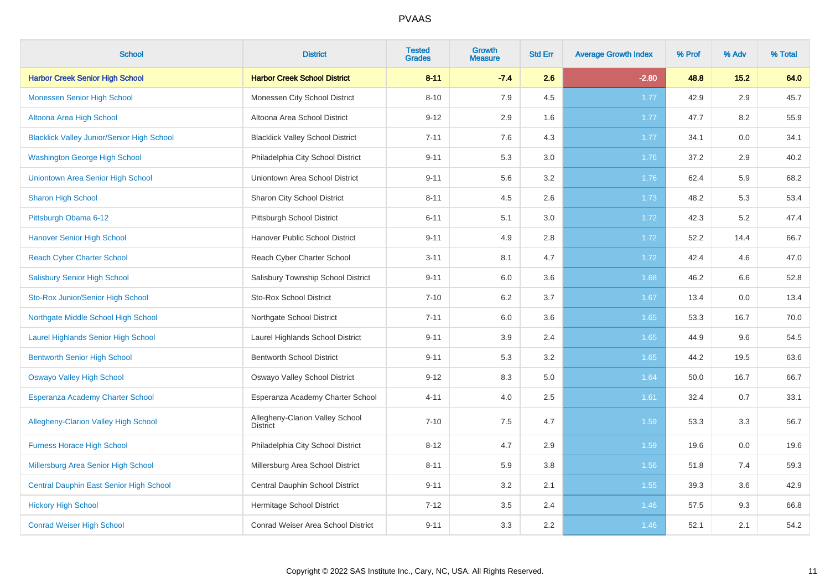| <b>School</b>                                     | <b>District</b>                                    | <b>Tested</b><br><b>Grades</b> | <b>Growth</b><br><b>Measure</b> | <b>Std Err</b> | <b>Average Growth Index</b> | % Prof | % Adv | % Total |
|---------------------------------------------------|----------------------------------------------------|--------------------------------|---------------------------------|----------------|-----------------------------|--------|-------|---------|
| <b>Harbor Creek Senior High School</b>            | <b>Harbor Creek School District</b>                | $8 - 11$                       | $-7.4$                          | 2.6            | $-2.80$                     | 48.8   | 15.2  | 64.0    |
| <b>Monessen Senior High School</b>                | Monessen City School District                      | $8 - 10$                       | 7.9                             | 4.5            | 1.77                        | 42.9   | 2.9   | 45.7    |
| Altoona Area High School                          | Altoona Area School District                       | $9 - 12$                       | 2.9                             | 1.6            | 1.77                        | 47.7   | 8.2   | 55.9    |
| <b>Blacklick Valley Junior/Senior High School</b> | <b>Blacklick Valley School District</b>            | $7 - 11$                       | 7.6                             | 4.3            | 1.77                        | 34.1   | 0.0   | 34.1    |
| <b>Washington George High School</b>              | Philadelphia City School District                  | $9 - 11$                       | 5.3                             | 3.0            | 1.76                        | 37.2   | 2.9   | 40.2    |
| Uniontown Area Senior High School                 | Uniontown Area School District                     | $9 - 11$                       | 5.6                             | 3.2            | 1.76                        | 62.4   | 5.9   | 68.2    |
| <b>Sharon High School</b>                         | Sharon City School District                        | $8 - 11$                       | 4.5                             | 2.6            | 1.73                        | 48.2   | 5.3   | 53.4    |
| Pittsburgh Obama 6-12                             | Pittsburgh School District                         | $6 - 11$                       | 5.1                             | 3.0            | 1.72                        | 42.3   | 5.2   | 47.4    |
| <b>Hanover Senior High School</b>                 | Hanover Public School District                     | $9 - 11$                       | 4.9                             | 2.8            | 1.72                        | 52.2   | 14.4  | 66.7    |
| <b>Reach Cyber Charter School</b>                 | Reach Cyber Charter School                         | $3 - 11$                       | 8.1                             | 4.7            | 1.72                        | 42.4   | 4.6   | 47.0    |
| <b>Salisbury Senior High School</b>               | Salisbury Township School District                 | $9 - 11$                       | 6.0                             | 3.6            | 1.68                        | 46.2   | 6.6   | 52.8    |
| Sto-Rox Junior/Senior High School                 | <b>Sto-Rox School District</b>                     | $7 - 10$                       | 6.2                             | 3.7            | 1.67                        | 13.4   | 0.0   | 13.4    |
| Northgate Middle School High School               | Northgate School District                          | $7 - 11$                       | 6.0                             | 3.6            | 1.65                        | 53.3   | 16.7  | 70.0    |
| <b>Laurel Highlands Senior High School</b>        | Laurel Highlands School District                   | $9 - 11$                       | 3.9                             | 2.4            | 1.65                        | 44.9   | 9.6   | 54.5    |
| <b>Bentworth Senior High School</b>               | <b>Bentworth School District</b>                   | $9 - 11$                       | 5.3                             | 3.2            | 1.65                        | 44.2   | 19.5  | 63.6    |
| <b>Oswayo Valley High School</b>                  | Oswayo Valley School District                      | $9 - 12$                       | 8.3                             | 5.0            | 1.64                        | 50.0   | 16.7  | 66.7    |
| <b>Esperanza Academy Charter School</b>           | Esperanza Academy Charter School                   | $4 - 11$                       | 4.0                             | 2.5            | 1.61                        | 32.4   | 0.7   | 33.1    |
| <b>Allegheny-Clarion Valley High School</b>       | Allegheny-Clarion Valley School<br><b>District</b> | $7 - 10$                       | 7.5                             | 4.7            | 1.59                        | 53.3   | 3.3   | 56.7    |
| <b>Furness Horace High School</b>                 | Philadelphia City School District                  | $8 - 12$                       | 4.7                             | 2.9            | 1.59                        | 19.6   | 0.0   | 19.6    |
| Millersburg Area Senior High School               | Millersburg Area School District                   | $8 - 11$                       | 5.9                             | 3.8            | 1.56                        | 51.8   | 7.4   | 59.3    |
| Central Dauphin East Senior High School           | Central Dauphin School District                    | $9 - 11$                       | 3.2                             | 2.1            | 1.55                        | 39.3   | 3.6   | 42.9    |
| <b>Hickory High School</b>                        | Hermitage School District                          | $7 - 12$                       | 3.5                             | 2.4            | 1.46                        | 57.5   | 9.3   | 66.8    |
| <b>Conrad Weiser High School</b>                  | Conrad Weiser Area School District                 | $9 - 11$                       | 3.3                             | 2.2            | 1.46                        | 52.1   | 2.1   | 54.2    |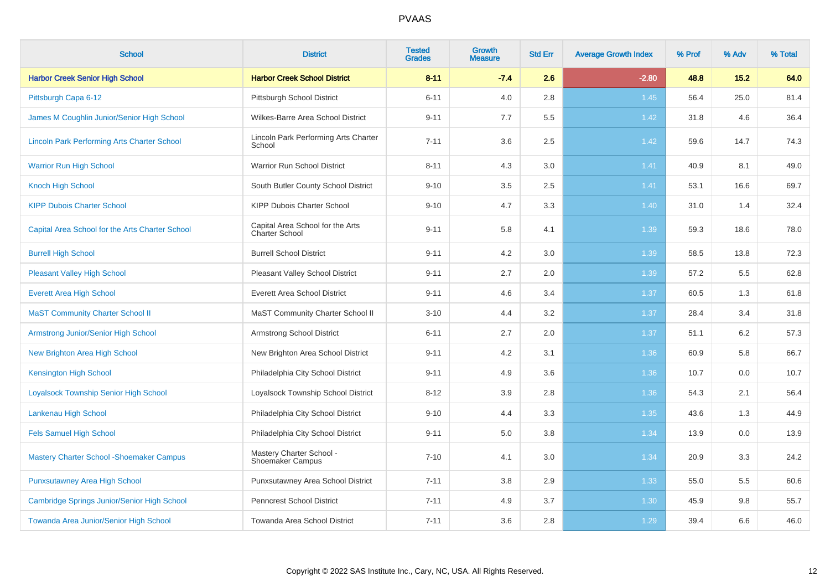| <b>School</b>                                      | <b>District</b>                                     | <b>Tested</b><br><b>Grades</b> | <b>Growth</b><br><b>Measure</b> | <b>Std Err</b> | <b>Average Growth Index</b> | % Prof | % Adv | % Total |
|----------------------------------------------------|-----------------------------------------------------|--------------------------------|---------------------------------|----------------|-----------------------------|--------|-------|---------|
| <b>Harbor Creek Senior High School</b>             | <b>Harbor Creek School District</b>                 | $8 - 11$                       | $-7.4$                          | 2.6            | $-2.80$                     | 48.8   | 15.2  | 64.0    |
| Pittsburgh Capa 6-12                               | Pittsburgh School District                          | $6 - 11$                       | 4.0                             | 2.8            | 1.45                        | 56.4   | 25.0  | 81.4    |
| James M Coughlin Junior/Senior High School         | Wilkes-Barre Area School District                   | $9 - 11$                       | 7.7                             | 5.5            | 1.42                        | 31.8   | 4.6   | 36.4    |
| <b>Lincoln Park Performing Arts Charter School</b> | Lincoln Park Performing Arts Charter<br>School      | $7 - 11$                       | 3.6                             | 2.5            | 1.42                        | 59.6   | 14.7  | 74.3    |
| <b>Warrior Run High School</b>                     | Warrior Run School District                         | $8 - 11$                       | 4.3                             | $3.0\,$        | 1.41                        | 40.9   | 8.1   | 49.0    |
| <b>Knoch High School</b>                           | South Butler County School District                 | $9 - 10$                       | 3.5                             | 2.5            | 1.41                        | 53.1   | 16.6  | 69.7    |
| <b>KIPP Dubois Charter School</b>                  | <b>KIPP Dubois Charter School</b>                   | $9 - 10$                       | 4.7                             | 3.3            | 1.40                        | 31.0   | 1.4   | 32.4    |
| Capital Area School for the Arts Charter School    | Capital Area School for the Arts<br>Charter School  | $9 - 11$                       | 5.8                             | 4.1            | 1.39                        | 59.3   | 18.6  | 78.0    |
| <b>Burrell High School</b>                         | <b>Burrell School District</b>                      | $9 - 11$                       | 4.2                             | 3.0            | 1.39                        | 58.5   | 13.8  | 72.3    |
| <b>Pleasant Valley High School</b>                 | Pleasant Valley School District                     | $9 - 11$                       | 2.7                             | 2.0            | 1.39                        | 57.2   | 5.5   | 62.8    |
| <b>Everett Area High School</b>                    | <b>Everett Area School District</b>                 | $9 - 11$                       | 4.6                             | 3.4            | 1.37                        | 60.5   | 1.3   | 61.8    |
| <b>MaST Community Charter School II</b>            | MaST Community Charter School II                    | $3 - 10$                       | 4.4                             | 3.2            | 1.37                        | 28.4   | 3.4   | 31.8    |
| Armstrong Junior/Senior High School                | <b>Armstrong School District</b>                    | $6 - 11$                       | 2.7                             | 2.0            | 1.37                        | 51.1   | 6.2   | 57.3    |
| New Brighton Area High School                      | New Brighton Area School District                   | $9 - 11$                       | 4.2                             | 3.1            | 1.36                        | 60.9   | 5.8   | 66.7    |
| <b>Kensington High School</b>                      | Philadelphia City School District                   | $9 - 11$                       | 4.9                             | 3.6            | 1.36                        | 10.7   | 0.0   | 10.7    |
| <b>Loyalsock Township Senior High School</b>       | Loyalsock Township School District                  | $8 - 12$                       | 3.9                             | 2.8            | 1.36                        | 54.3   | 2.1   | 56.4    |
| Lankenau High School                               | Philadelphia City School District                   | $9 - 10$                       | 4.4                             | 3.3            | 1.35                        | 43.6   | 1.3   | 44.9    |
| <b>Fels Samuel High School</b>                     | Philadelphia City School District                   | $9 - 11$                       | 5.0                             | 3.8            | 1.34                        | 13.9   | 0.0   | 13.9    |
| <b>Mastery Charter School - Shoemaker Campus</b>   | Mastery Charter School -<br><b>Shoemaker Campus</b> | $7 - 10$                       | 4.1                             | 3.0            | 1.34                        | 20.9   | 3.3   | 24.2    |
| <b>Punxsutawney Area High School</b>               | Punxsutawney Area School District                   | $7 - 11$                       | 3.8                             | 2.9            | 1.33                        | 55.0   | 5.5   | 60.6    |
| Cambridge Springs Junior/Senior High School        | <b>Penncrest School District</b>                    | $7 - 11$                       | 4.9                             | 3.7            | 1.30                        | 45.9   | 9.8   | 55.7    |
| Towanda Area Junior/Senior High School             | Towanda Area School District                        | $7 - 11$                       | 3.6                             | 2.8            | 1.29                        | 39.4   | 6.6   | 46.0    |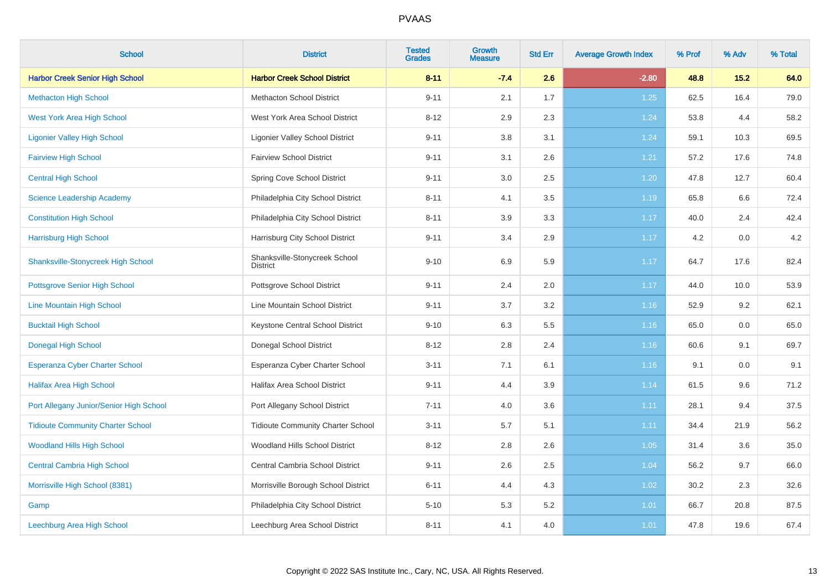| <b>School</b>                             | <b>District</b>                                  | <b>Tested</b><br><b>Grades</b> | <b>Growth</b><br><b>Measure</b> | <b>Std Err</b> | <b>Average Growth Index</b> | % Prof | % Adv  | % Total |
|-------------------------------------------|--------------------------------------------------|--------------------------------|---------------------------------|----------------|-----------------------------|--------|--------|---------|
| <b>Harbor Creek Senior High School</b>    | <b>Harbor Creek School District</b>              | $8 - 11$                       | $-7.4$                          | 2.6            | $-2.80$                     | 48.8   | $15.2$ | 64.0    |
| <b>Methacton High School</b>              | <b>Methacton School District</b>                 | $9 - 11$                       | 2.1                             | 1.7            | 1.25                        | 62.5   | 16.4   | 79.0    |
| <b>West York Area High School</b>         | West York Area School District                   | $8 - 12$                       | 2.9                             | 2.3            | 1.24                        | 53.8   | 4.4    | 58.2    |
| <b>Ligonier Valley High School</b>        | <b>Ligonier Valley School District</b>           | $9 - 11$                       | 3.8                             | 3.1            | 1.24                        | 59.1   | 10.3   | 69.5    |
| <b>Fairview High School</b>               | <b>Fairview School District</b>                  | $9 - 11$                       | 3.1                             | 2.6            | 1.21                        | 57.2   | 17.6   | 74.8    |
| <b>Central High School</b>                | Spring Cove School District                      | $9 - 11$                       | 3.0                             | 2.5            | 1.20                        | 47.8   | 12.7   | 60.4    |
| <b>Science Leadership Academy</b>         | Philadelphia City School District                | $8 - 11$                       | 4.1                             | 3.5            | 1.19                        | 65.8   | 6.6    | 72.4    |
| <b>Constitution High School</b>           | Philadelphia City School District                | $8 - 11$                       | 3.9                             | 3.3            | 1.17                        | 40.0   | 2.4    | 42.4    |
| <b>Harrisburg High School</b>             | Harrisburg City School District                  | $9 - 11$                       | 3.4                             | 2.9            | 1.17                        | 4.2    | 0.0    | 4.2     |
| <b>Shanksville-Stonycreek High School</b> | Shanksville-Stonycreek School<br><b>District</b> | $9 - 10$                       | 6.9                             | 5.9            | 1.17                        | 64.7   | 17.6   | 82.4    |
| <b>Pottsgrove Senior High School</b>      | Pottsgrove School District                       | $9 - 11$                       | 2.4                             | $2.0\,$        | 1.17                        | 44.0   | 10.0   | 53.9    |
| Line Mountain High School                 | Line Mountain School District                    | $9 - 11$                       | 3.7                             | $3.2\,$        | 1.16                        | 52.9   | 9.2    | 62.1    |
| <b>Bucktail High School</b>               | Keystone Central School District                 | $9 - 10$                       | 6.3                             | 5.5            | 1.16                        | 65.0   | 0.0    | 65.0    |
| <b>Donegal High School</b>                | Donegal School District                          | $8 - 12$                       | 2.8                             | 2.4            | 1.16                        | 60.6   | 9.1    | 69.7    |
| Esperanza Cyber Charter School            | Esperanza Cyber Charter School                   | $3 - 11$                       | 7.1                             | 6.1            | 1.16                        | 9.1    | 0.0    | 9.1     |
| <b>Halifax Area High School</b>           | <b>Halifax Area School District</b>              | $9 - 11$                       | 4.4                             | 3.9            | 1.14                        | 61.5   | 9.6    | 71.2    |
| Port Allegany Junior/Senior High School   | Port Allegany School District                    | $7 - 11$                       | 4.0                             | 3.6            | 1.11                        | 28.1   | 9.4    | 37.5    |
| <b>Tidioute Community Charter School</b>  | <b>Tidioute Community Charter School</b>         | $3 - 11$                       | 5.7                             | 5.1            | 1.11                        | 34.4   | 21.9   | 56.2    |
| <b>Woodland Hills High School</b>         | Woodland Hills School District                   | $8 - 12$                       | 2.8                             | 2.6            | 1.05                        | 31.4   | 3.6    | 35.0    |
| <b>Central Cambria High School</b>        | Central Cambria School District                  | $9 - 11$                       | 2.6                             | 2.5            | 1.04                        | 56.2   | 9.7    | 66.0    |
| Morrisville High School (8381)            | Morrisville Borough School District              | $6 - 11$                       | 4.4                             | 4.3            | 1.02                        | 30.2   | 2.3    | 32.6    |
| Gamp                                      | Philadelphia City School District                | $5 - 10$                       | 5.3                             | 5.2            | 1.01                        | 66.7   | 20.8   | 87.5    |
| Leechburg Area High School                | Leechburg Area School District                   | $8 - 11$                       | 4.1                             | 4.0            | 1.01                        | 47.8   | 19.6   | 67.4    |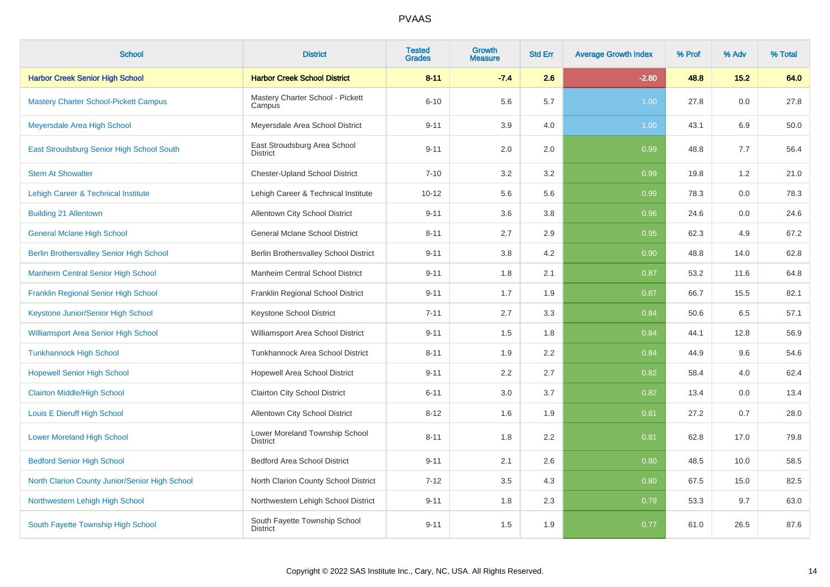| <b>School</b>                                   | <b>District</b>                                   | <b>Tested</b><br><b>Grades</b> | Growth<br><b>Measure</b> | <b>Std Err</b> | <b>Average Growth Index</b> | % Prof | % Adv | % Total |
|-------------------------------------------------|---------------------------------------------------|--------------------------------|--------------------------|----------------|-----------------------------|--------|-------|---------|
| <b>Harbor Creek Senior High School</b>          | <b>Harbor Creek School District</b>               | $8 - 11$                       | $-7.4$                   | 2.6            | $-2.80$                     | 48.8   | 15.2  | 64.0    |
| <b>Mastery Charter School-Pickett Campus</b>    | Mastery Charter School - Pickett<br>Campus        | $6 - 10$                       | 5.6                      | 5.7            | 1.00                        | 27.8   | 0.0   | 27.8    |
| Meyersdale Area High School                     | Meyersdale Area School District                   | $9 - 11$                       | 3.9                      | 4.0            | 1.00                        | 43.1   | 6.9   | 50.0    |
| East Stroudsburg Senior High School South       | East Stroudsburg Area School<br><b>District</b>   | $9 - 11$                       | 2.0                      | 2.0            | 0.99                        | 48.8   | 7.7   | 56.4    |
| <b>Stem At Showalter</b>                        | <b>Chester-Upland School District</b>             | $7 - 10$                       | 3.2                      | 3.2            | 0.99                        | 19.8   | 1.2   | 21.0    |
| Lehigh Career & Technical Institute             | Lehigh Career & Technical Institute               | $10 - 12$                      | 5.6                      | 5.6            | 0.99                        | 78.3   | 0.0   | 78.3    |
| <b>Building 21 Allentown</b>                    | Allentown City School District                    | $9 - 11$                       | 3.6                      | 3.8            | 0.96                        | 24.6   | 0.0   | 24.6    |
| <b>General Mclane High School</b>               | <b>General Mclane School District</b>             | $8 - 11$                       | 2.7                      | 2.9            | 0.95                        | 62.3   | 4.9   | 67.2    |
| <b>Berlin Brothersvalley Senior High School</b> | Berlin Brothersvalley School District             | $9 - 11$                       | 3.8                      | 4.2            | 0.90                        | 48.8   | 14.0  | 62.8    |
| <b>Manheim Central Senior High School</b>       | Manheim Central School District                   | $9 - 11$                       | 1.8                      | 2.1            | 0.87                        | 53.2   | 11.6  | 64.8    |
| Franklin Regional Senior High School            | Franklin Regional School District                 | $9 - 11$                       | 1.7                      | 1.9            | 0.87                        | 66.7   | 15.5  | 82.1    |
| Keystone Junior/Senior High School              | Keystone School District                          | $7 - 11$                       | 2.7                      | 3.3            | 0.84                        | 50.6   | 6.5   | 57.1    |
| <b>Williamsport Area Senior High School</b>     | Williamsport Area School District                 | $9 - 11$                       | 1.5                      | 1.8            | 0.84                        | 44.1   | 12.8  | 56.9    |
| <b>Tunkhannock High School</b>                  | Tunkhannock Area School District                  | $8 - 11$                       | 1.9                      | 2.2            | 0.84                        | 44.9   | 9.6   | 54.6    |
| <b>Hopewell Senior High School</b>              | Hopewell Area School District                     | $9 - 11$                       | 2.2                      | 2.7            | 0.82                        | 58.4   | 4.0   | 62.4    |
| <b>Clairton Middle/High School</b>              | <b>Clairton City School District</b>              | $6 - 11$                       | 3.0                      | 3.7            | 0.82                        | 13.4   | 0.0   | 13.4    |
| Louis E Dieruff High School                     | Allentown City School District                    | $8 - 12$                       | 1.6                      | 1.9            | 0.81                        | 27.2   | 0.7   | 28.0    |
| <b>Lower Moreland High School</b>               | Lower Moreland Township School<br><b>District</b> | $8 - 11$                       | 1.8                      | 2.2            | 0.81                        | 62.8   | 17.0  | 79.8    |
| <b>Bedford Senior High School</b>               | <b>Bedford Area School District</b>               | $9 - 11$                       | 2.1                      | 2.6            | 0.80                        | 48.5   | 10.0  | 58.5    |
| North Clarion County Junior/Senior High School  | North Clarion County School District              | $7 - 12$                       | 3.5                      | 4.3            | 0.80                        | 67.5   | 15.0  | 82.5    |
| Northwestern Lehigh High School                 | Northwestern Lehigh School District               | $9 - 11$                       | 1.8                      | 2.3            | 0.79                        | 53.3   | 9.7   | 63.0    |
| South Fayette Township High School              | South Fayette Township School<br><b>District</b>  | $9 - 11$                       | 1.5                      | 1.9            | 0.77                        | 61.0   | 26.5  | 87.6    |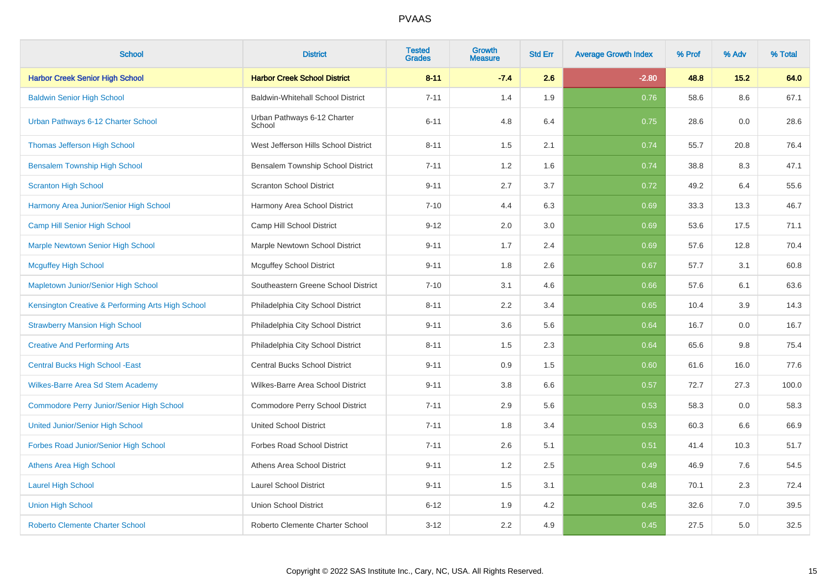| <b>School</b>                                     | <b>District</b>                          | <b>Tested</b><br><b>Grades</b> | <b>Growth</b><br><b>Measure</b> | <b>Std Err</b> | <b>Average Growth Index</b> | % Prof | % Adv | % Total |
|---------------------------------------------------|------------------------------------------|--------------------------------|---------------------------------|----------------|-----------------------------|--------|-------|---------|
| <b>Harbor Creek Senior High School</b>            | <b>Harbor Creek School District</b>      | $8 - 11$                       | $-7.4$                          | 2.6            | $-2.80$                     | 48.8   | 15.2  | 64.0    |
| <b>Baldwin Senior High School</b>                 | <b>Baldwin-Whitehall School District</b> | $7 - 11$                       | 1.4                             | 1.9            | 0.76                        | 58.6   | 8.6   | 67.1    |
| Urban Pathways 6-12 Charter School                | Urban Pathways 6-12 Charter<br>School    | $6 - 11$                       | 4.8                             | 6.4            | 0.75                        | 28.6   | 0.0   | 28.6    |
| <b>Thomas Jefferson High School</b>               | West Jefferson Hills School District     | $8 - 11$                       | 1.5                             | 2.1            | 0.74                        | 55.7   | 20.8  | 76.4    |
| <b>Bensalem Township High School</b>              | Bensalem Township School District        | $7 - 11$                       | 1.2                             | 1.6            | 0.74                        | 38.8   | 8.3   | 47.1    |
| <b>Scranton High School</b>                       | <b>Scranton School District</b>          | $9 - 11$                       | 2.7                             | 3.7            | 0.72                        | 49.2   | 6.4   | 55.6    |
| Harmony Area Junior/Senior High School            | Harmony Area School District             | $7 - 10$                       | 4.4                             | 6.3            | 0.69                        | 33.3   | 13.3  | 46.7    |
| Camp Hill Senior High School                      | Camp Hill School District                | $9 - 12$                       | 2.0                             | 3.0            | 0.69                        | 53.6   | 17.5  | 71.1    |
| <b>Marple Newtown Senior High School</b>          | Marple Newtown School District           | $9 - 11$                       | 1.7                             | 2.4            | 0.69                        | 57.6   | 12.8  | 70.4    |
| <b>Mcguffey High School</b>                       | <b>Mcguffey School District</b>          | $9 - 11$                       | 1.8                             | 2.6            | 0.67                        | 57.7   | 3.1   | 60.8    |
| Mapletown Junior/Senior High School               | Southeastern Greene School District      | $7 - 10$                       | 3.1                             | 4.6            | 0.66                        | 57.6   | 6.1   | 63.6    |
| Kensington Creative & Performing Arts High School | Philadelphia City School District        | $8 - 11$                       | 2.2                             | 3.4            | 0.65                        | 10.4   | 3.9   | 14.3    |
| <b>Strawberry Mansion High School</b>             | Philadelphia City School District        | $9 - 11$                       | 3.6                             | 5.6            | 0.64                        | 16.7   | 0.0   | 16.7    |
| <b>Creative And Performing Arts</b>               | Philadelphia City School District        | $8 - 11$                       | 1.5                             | 2.3            | 0.64                        | 65.6   | 9.8   | 75.4    |
| <b>Central Bucks High School -East</b>            | Central Bucks School District            | $9 - 11$                       | 0.9                             | 1.5            | 0.60                        | 61.6   | 16.0  | 77.6    |
| Wilkes-Barre Area Sd Stem Academy                 | Wilkes-Barre Area School District        | $9 - 11$                       | 3.8                             | 6.6            | 0.57                        | 72.7   | 27.3  | 100.0   |
| <b>Commodore Perry Junior/Senior High School</b>  | Commodore Perry School District          | $7 - 11$                       | 2.9                             | 5.6            | 0.53                        | 58.3   | 0.0   | 58.3    |
| <b>United Junior/Senior High School</b>           | <b>United School District</b>            | $7 - 11$                       | 1.8                             | 3.4            | 0.53                        | 60.3   | 6.6   | 66.9    |
| Forbes Road Junior/Senior High School             | <b>Forbes Road School District</b>       | $7 - 11$                       | 2.6                             | 5.1            | 0.51                        | 41.4   | 10.3  | 51.7    |
| <b>Athens Area High School</b>                    | Athens Area School District              | $9 - 11$                       | 1.2                             | 2.5            | 0.49                        | 46.9   | 7.6   | 54.5    |
| <b>Laurel High School</b>                         | <b>Laurel School District</b>            | $9 - 11$                       | 1.5                             | 3.1            | 0.48                        | 70.1   | 2.3   | 72.4    |
| <b>Union High School</b>                          | <b>Union School District</b>             | $6 - 12$                       | 1.9                             | 4.2            | 0.45                        | 32.6   | 7.0   | 39.5    |
| <b>Roberto Clemente Charter School</b>            | Roberto Clemente Charter School          | $3 - 12$                       | 2.2                             | 4.9            | 0.45                        | 27.5   | 5.0   | 32.5    |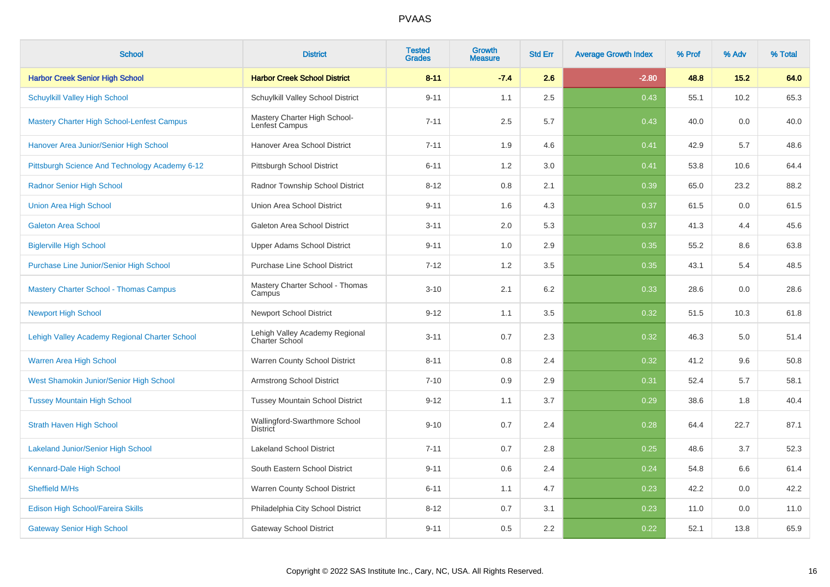| <b>School</b>                                     | <b>District</b>                                         | <b>Tested</b><br><b>Grades</b> | <b>Growth</b><br><b>Measure</b> | <b>Std Err</b> | <b>Average Growth Index</b> | % Prof | % Adv | % Total |
|---------------------------------------------------|---------------------------------------------------------|--------------------------------|---------------------------------|----------------|-----------------------------|--------|-------|---------|
| <b>Harbor Creek Senior High School</b>            | <b>Harbor Creek School District</b>                     | $8 - 11$                       | $-7.4$                          | 2.6            | $-2.80$                     | 48.8   | 15.2  | 64.0    |
| <b>Schuylkill Valley High School</b>              | Schuylkill Valley School District                       | $9 - 11$                       | 1.1                             | 2.5            | 0.43                        | 55.1   | 10.2  | 65.3    |
| <b>Mastery Charter High School-Lenfest Campus</b> | Mastery Charter High School-<br>Lenfest Campus          | $7 - 11$                       | 2.5                             | 5.7            | 0.43                        | 40.0   | 0.0   | 40.0    |
| Hanover Area Junior/Senior High School            | Hanover Area School District                            | $7 - 11$                       | 1.9                             | 4.6            | 0.41                        | 42.9   | 5.7   | 48.6    |
| Pittsburgh Science And Technology Academy 6-12    | Pittsburgh School District                              | $6 - 11$                       | 1.2                             | 3.0            | 0.41                        | 53.8   | 10.6  | 64.4    |
| <b>Radnor Senior High School</b>                  | Radnor Township School District                         | $8 - 12$                       | 0.8                             | 2.1            | 0.39                        | 65.0   | 23.2  | 88.2    |
| <b>Union Area High School</b>                     | Union Area School District                              | $9 - 11$                       | 1.6                             | 4.3            | 0.37                        | 61.5   | 0.0   | 61.5    |
| <b>Galeton Area School</b>                        | Galeton Area School District                            | $3 - 11$                       | 2.0                             | 5.3            | 0.37                        | 41.3   | 4.4   | 45.6    |
| <b>Biglerville High School</b>                    | <b>Upper Adams School District</b>                      | $9 - 11$                       | 1.0                             | 2.9            | 0.35                        | 55.2   | 8.6   | 63.8    |
| Purchase Line Junior/Senior High School           | <b>Purchase Line School District</b>                    | $7 - 12$                       | 1.2                             | 3.5            | 0.35                        | 43.1   | 5.4   | 48.5    |
| <b>Mastery Charter School - Thomas Campus</b>     | Mastery Charter School - Thomas<br>Campus               | $3 - 10$                       | 2.1                             | 6.2            | 0.33                        | 28.6   | 0.0   | 28.6    |
| <b>Newport High School</b>                        | <b>Newport School District</b>                          | $9 - 12$                       | 1.1                             | 3.5            | 0.32                        | 51.5   | 10.3  | 61.8    |
| Lehigh Valley Academy Regional Charter School     | Lehigh Valley Academy Regional<br><b>Charter School</b> | $3 - 11$                       | 0.7                             | 2.3            | 0.32                        | 46.3   | 5.0   | 51.4    |
| Warren Area High School                           | Warren County School District                           | $8 - 11$                       | 0.8                             | 2.4            | 0.32                        | 41.2   | 9.6   | 50.8    |
| West Shamokin Junior/Senior High School           | <b>Armstrong School District</b>                        | $7 - 10$                       | 0.9                             | 2.9            | 0.31                        | 52.4   | 5.7   | 58.1    |
| <b>Tussey Mountain High School</b>                | <b>Tussey Mountain School District</b>                  | $9 - 12$                       | 1.1                             | 3.7            | 0.29                        | 38.6   | 1.8   | 40.4    |
| <b>Strath Haven High School</b>                   | Wallingford-Swarthmore School<br><b>District</b>        | $9 - 10$                       | 0.7                             | 2.4            | 0.28                        | 64.4   | 22.7  | 87.1    |
| <b>Lakeland Junior/Senior High School</b>         | <b>Lakeland School District</b>                         | $7 - 11$                       | 0.7                             | 2.8            | 0.25                        | 48.6   | 3.7   | 52.3    |
| Kennard-Dale High School                          | South Eastern School District                           | $9 - 11$                       | 0.6                             | 2.4            | 0.24                        | 54.8   | 6.6   | 61.4    |
| Sheffield M/Hs                                    | Warren County School District                           | $6 - 11$                       | 1.1                             | 4.7            | 0.23                        | 42.2   | 0.0   | 42.2    |
| Edison High School/Fareira Skills                 | Philadelphia City School District                       | $8 - 12$                       | 0.7                             | 3.1            | 0.23                        | 11.0   | 0.0   | 11.0    |
| <b>Gateway Senior High School</b>                 | <b>Gateway School District</b>                          | $9 - 11$                       | 0.5                             | 2.2            | 0.22                        | 52.1   | 13.8  | 65.9    |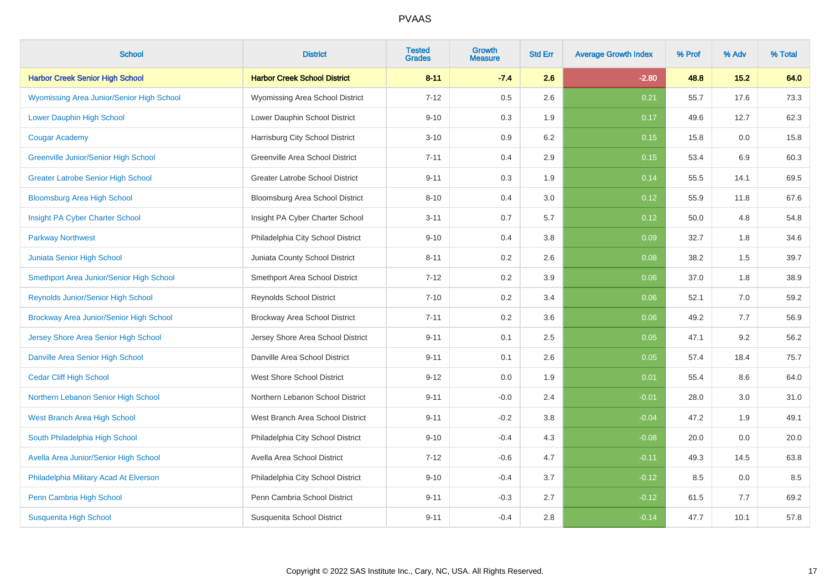| <b>School</b>                               | <b>District</b>                        | <b>Tested</b><br><b>Grades</b> | <b>Growth</b><br><b>Measure</b> | <b>Std Err</b> | <b>Average Growth Index</b> | % Prof | % Adv | % Total |
|---------------------------------------------|----------------------------------------|--------------------------------|---------------------------------|----------------|-----------------------------|--------|-------|---------|
| <b>Harbor Creek Senior High School</b>      | <b>Harbor Creek School District</b>    | $8 - 11$                       | $-7.4$                          | 2.6            | $-2.80$                     | 48.8   | 15.2  | 64.0    |
| Wyomissing Area Junior/Senior High School   | Wyomissing Area School District        | $7 - 12$                       | 0.5                             | 2.6            | 0.21                        | 55.7   | 17.6  | 73.3    |
| Lower Dauphin High School                   | Lower Dauphin School District          | $9 - 10$                       | 0.3                             | 1.9            | 0.17                        | 49.6   | 12.7  | 62.3    |
| <b>Cougar Academy</b>                       | Harrisburg City School District        | $3 - 10$                       | 0.9                             | 6.2            | 0.15                        | 15.8   | 0.0   | 15.8    |
| <b>Greenville Junior/Senior High School</b> | Greenville Area School District        | $7 - 11$                       | 0.4                             | 2.9            | 0.15                        | 53.4   | 6.9   | 60.3    |
| <b>Greater Latrobe Senior High School</b>   | <b>Greater Latrobe School District</b> | $9 - 11$                       | 0.3                             | 1.9            | 0.14                        | 55.5   | 14.1  | 69.5    |
| <b>Bloomsburg Area High School</b>          | Bloomsburg Area School District        | $8 - 10$                       | 0.4                             | 3.0            | 0.12                        | 55.9   | 11.8  | 67.6    |
| Insight PA Cyber Charter School             | Insight PA Cyber Charter School        | $3 - 11$                       | 0.7                             | 5.7            | 0.12                        | 50.0   | 4.8   | 54.8    |
| <b>Parkway Northwest</b>                    | Philadelphia City School District      | $9 - 10$                       | 0.4                             | 3.8            | 0.09                        | 32.7   | 1.8   | 34.6    |
| Juniata Senior High School                  | Juniata County School District         | $8 - 11$                       | 0.2                             | 2.6            | 0.08                        | 38.2   | 1.5   | 39.7    |
| Smethport Area Junior/Senior High School    | Smethport Area School District         | $7 - 12$                       | 0.2                             | 3.9            | 0.06                        | 37.0   | 1.8   | 38.9    |
| Reynolds Junior/Senior High School          | <b>Reynolds School District</b>        | $7 - 10$                       | 0.2                             | 3.4            | 0.06                        | 52.1   | 7.0   | 59.2    |
| Brockway Area Junior/Senior High School     | Brockway Area School District          | $7 - 11$                       | 0.2                             | 3.6            | 0.06                        | 49.2   | 7.7   | 56.9    |
| Jersey Shore Area Senior High School        | Jersey Shore Area School District      | $9 - 11$                       | 0.1                             | 2.5            | 0.05                        | 47.1   | 9.2   | 56.2    |
| Danville Area Senior High School            | Danville Area School District          | $9 - 11$                       | 0.1                             | 2.6            | 0.05                        | 57.4   | 18.4  | 75.7    |
| <b>Cedar Cliff High School</b>              | <b>West Shore School District</b>      | $9 - 12$                       | 0.0                             | 1.9            | 0.01                        | 55.4   | 8.6   | 64.0    |
| Northern Lebanon Senior High School         | Northern Lebanon School District       | $9 - 11$                       | $-0.0$                          | 2.4            | $-0.01$                     | 28.0   | 3.0   | 31.0    |
| West Branch Area High School                | West Branch Area School District       | $9 - 11$                       | $-0.2$                          | 3.8            | $-0.04$                     | 47.2   | 1.9   | 49.1    |
| South Philadelphia High School              | Philadelphia City School District      | $9 - 10$                       | $-0.4$                          | 4.3            | $-0.08$                     | 20.0   | 0.0   | 20.0    |
| Avella Area Junior/Senior High School       | Avella Area School District            | $7 - 12$                       | $-0.6$                          | 4.7            | $-0.11$                     | 49.3   | 14.5  | 63.8    |
| Philadelphia Military Acad At Elverson      | Philadelphia City School District      | $9 - 10$                       | $-0.4$                          | 3.7            | $-0.12$                     | 8.5    | 0.0   | 8.5     |
| Penn Cambria High School                    | Penn Cambria School District           | $9 - 11$                       | $-0.3$                          | 2.7            | $-0.12$                     | 61.5   | 7.7   | 69.2    |
| <b>Susquenita High School</b>               | Susquenita School District             | $9 - 11$                       | $-0.4$                          | 2.8            | $-0.14$                     | 47.7   | 10.1  | 57.8    |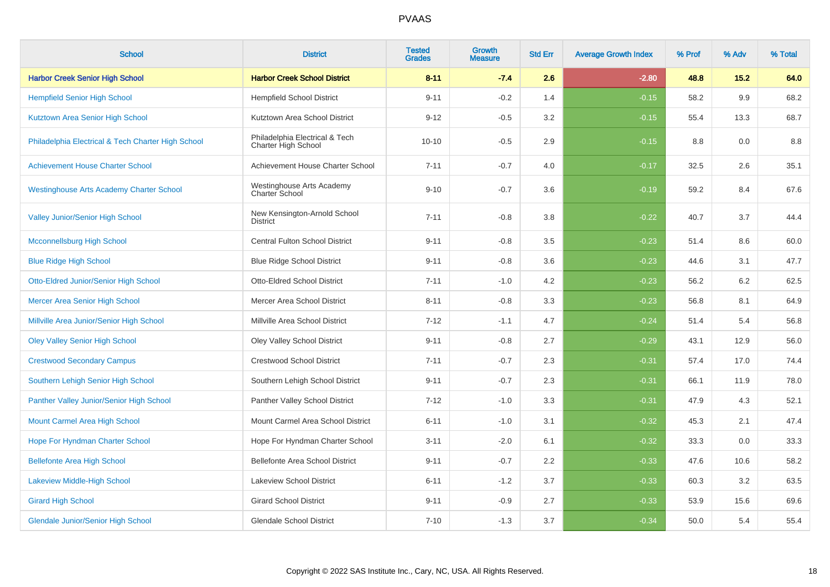| <b>School</b>                                      | <b>District</b>                                       | <b>Tested</b><br><b>Grades</b> | Growth<br><b>Measure</b> | <b>Std Err</b> | <b>Average Growth Index</b> | % Prof | % Adv | % Total |
|----------------------------------------------------|-------------------------------------------------------|--------------------------------|--------------------------|----------------|-----------------------------|--------|-------|---------|
| <b>Harbor Creek Senior High School</b>             | <b>Harbor Creek School District</b>                   | $8 - 11$                       | $-7.4$                   | 2.6            | $-2.80$                     | 48.8   | 15.2  | 64.0    |
| <b>Hempfield Senior High School</b>                | <b>Hempfield School District</b>                      | $9 - 11$                       | $-0.2$                   | 1.4            | $-0.15$                     | 58.2   | 9.9   | 68.2    |
| Kutztown Area Senior High School                   | Kutztown Area School District                         | $9 - 12$                       | $-0.5$                   | 3.2            | $-0.15$                     | 55.4   | 13.3  | 68.7    |
| Philadelphia Electrical & Tech Charter High School | Philadelphia Electrical & Tech<br>Charter High School | $10 - 10$                      | $-0.5$                   | 2.9            | $-0.15$                     | 8.8    | 0.0   | 8.8     |
| <b>Achievement House Charter School</b>            | Achievement House Charter School                      | $7 - 11$                       | $-0.7$                   | 4.0            | $-0.17$                     | 32.5   | 2.6   | 35.1    |
| <b>Westinghouse Arts Academy Charter School</b>    | Westinghouse Arts Academy<br>Charter School           | $9 - 10$                       | $-0.7$                   | 3.6            | $-0.19$                     | 59.2   | 8.4   | 67.6    |
| Valley Junior/Senior High School                   | New Kensington-Arnold School<br><b>District</b>       | $7 - 11$                       | $-0.8$                   | 3.8            | $-0.22$                     | 40.7   | 3.7   | 44.4    |
| <b>Mcconnellsburg High School</b>                  | Central Fulton School District                        | $9 - 11$                       | $-0.8$                   | 3.5            | $-0.23$                     | 51.4   | 8.6   | 60.0    |
| <b>Blue Ridge High School</b>                      | <b>Blue Ridge School District</b>                     | $9 - 11$                       | $-0.8$                   | 3.6            | $-0.23$                     | 44.6   | 3.1   | 47.7    |
| Otto-Eldred Junior/Senior High School              | <b>Otto-Eldred School District</b>                    | $7 - 11$                       | $-1.0$                   | 4.2            | $-0.23$                     | 56.2   | 6.2   | 62.5    |
| <b>Mercer Area Senior High School</b>              | Mercer Area School District                           | $8 - 11$                       | $-0.8$                   | 3.3            | $-0.23$                     | 56.8   | 8.1   | 64.9    |
| Millville Area Junior/Senior High School           | Millville Area School District                        | $7 - 12$                       | $-1.1$                   | 4.7            | $-0.24$                     | 51.4   | 5.4   | 56.8    |
| <b>Oley Valley Senior High School</b>              | Oley Valley School District                           | $9 - 11$                       | $-0.8$                   | 2.7            | $-0.29$                     | 43.1   | 12.9  | 56.0    |
| <b>Crestwood Secondary Campus</b>                  | <b>Crestwood School District</b>                      | $7 - 11$                       | $-0.7$                   | 2.3            | $-0.31$                     | 57.4   | 17.0  | 74.4    |
| Southern Lehigh Senior High School                 | Southern Lehigh School District                       | $9 - 11$                       | $-0.7$                   | 2.3            | $-0.31$                     | 66.1   | 11.9  | 78.0    |
| Panther Valley Junior/Senior High School           | Panther Valley School District                        | $7 - 12$                       | $-1.0$                   | 3.3            | $-0.31$                     | 47.9   | 4.3   | 52.1    |
| Mount Carmel Area High School                      | Mount Carmel Area School District                     | $6 - 11$                       | $-1.0$                   | 3.1            | $-0.32$                     | 45.3   | 2.1   | 47.4    |
| Hope For Hyndman Charter School                    | Hope For Hyndman Charter School                       | $3 - 11$                       | $-2.0$                   | 6.1            | $-0.32$                     | 33.3   | 0.0   | 33.3    |
| <b>Bellefonte Area High School</b>                 | Bellefonte Area School District                       | $9 - 11$                       | $-0.7$                   | 2.2            | $-0.33$                     | 47.6   | 10.6  | 58.2    |
| Lakeview Middle-High School                        | Lakeview School District                              | $6 - 11$                       | $-1.2$                   | 3.7            | $-0.33$                     | 60.3   | 3.2   | 63.5    |
| <b>Girard High School</b>                          | <b>Girard School District</b>                         | $9 - 11$                       | $-0.9$                   | 2.7            | $-0.33$                     | 53.9   | 15.6  | 69.6    |
| <b>Glendale Junior/Senior High School</b>          | <b>Glendale School District</b>                       | $7 - 10$                       | $-1.3$                   | 3.7            | $-0.34$                     | 50.0   | 5.4   | 55.4    |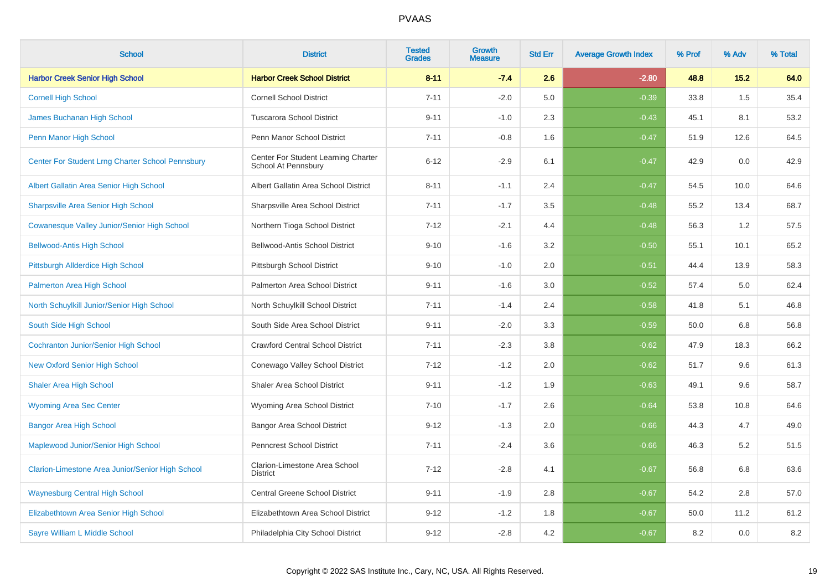| <b>School</b>                                      | <b>District</b>                                            | <b>Tested</b><br><b>Grades</b> | <b>Growth</b><br><b>Measure</b> | <b>Std Err</b> | <b>Average Growth Index</b> | % Prof | % Adv | % Total |
|----------------------------------------------------|------------------------------------------------------------|--------------------------------|---------------------------------|----------------|-----------------------------|--------|-------|---------|
| <b>Harbor Creek Senior High School</b>             | <b>Harbor Creek School District</b>                        | $8 - 11$                       | $-7.4$                          | 2.6            | $-2.80$                     | 48.8   | 15.2  | 64.0    |
| <b>Cornell High School</b>                         | <b>Cornell School District</b>                             | $7 - 11$                       | $-2.0$                          | 5.0            | $-0.39$                     | 33.8   | 1.5   | 35.4    |
| James Buchanan High School                         | <b>Tuscarora School District</b>                           | $9 - 11$                       | $-1.0$                          | 2.3            | $-0.43$                     | 45.1   | 8.1   | 53.2    |
| Penn Manor High School                             | Penn Manor School District                                 | $7 - 11$                       | $-0.8$                          | 1.6            | $-0.47$                     | 51.9   | 12.6  | 64.5    |
| Center For Student Lrng Charter School Pennsbury   | Center For Student Learning Charter<br>School At Pennsbury | $6 - 12$                       | $-2.9$                          | 6.1            | $-0.47$                     | 42.9   | 0.0   | 42.9    |
| Albert Gallatin Area Senior High School            | Albert Gallatin Area School District                       | $8 - 11$                       | $-1.1$                          | 2.4            | $-0.47$                     | 54.5   | 10.0  | 64.6    |
| <b>Sharpsville Area Senior High School</b>         | Sharpsville Area School District                           | $7 - 11$                       | $-1.7$                          | 3.5            | $-0.48$                     | 55.2   | 13.4  | 68.7    |
| <b>Cowanesque Valley Junior/Senior High School</b> | Northern Tioga School District                             | $7 - 12$                       | $-2.1$                          | 4.4            | $-0.48$                     | 56.3   | 1.2   | 57.5    |
| <b>Bellwood-Antis High School</b>                  | <b>Bellwood-Antis School District</b>                      | $9 - 10$                       | $-1.6$                          | 3.2            | $-0.50$                     | 55.1   | 10.1  | 65.2    |
| Pittsburgh Allderdice High School                  | Pittsburgh School District                                 | $9 - 10$                       | $-1.0$                          | 2.0            | $-0.51$                     | 44.4   | 13.9  | 58.3    |
| <b>Palmerton Area High School</b>                  | Palmerton Area School District                             | $9 - 11$                       | $-1.6$                          | 3.0            | $-0.52$                     | 57.4   | 5.0   | 62.4    |
| North Schuylkill Junior/Senior High School         | North Schuylkill School District                           | $7 - 11$                       | $-1.4$                          | 2.4            | $-0.58$                     | 41.8   | 5.1   | 46.8    |
| South Side High School                             | South Side Area School District                            | $9 - 11$                       | $-2.0$                          | 3.3            | $-0.59$                     | 50.0   | 6.8   | 56.8    |
| <b>Cochranton Junior/Senior High School</b>        | <b>Crawford Central School District</b>                    | $7 - 11$                       | $-2.3$                          | 3.8            | $-0.62$                     | 47.9   | 18.3  | 66.2    |
| <b>New Oxford Senior High School</b>               | Conewago Valley School District                            | $7 - 12$                       | $-1.2$                          | 2.0            | $-0.62$                     | 51.7   | 9.6   | 61.3    |
| <b>Shaler Area High School</b>                     | <b>Shaler Area School District</b>                         | $9 - 11$                       | $-1.2$                          | 1.9            | $-0.63$                     | 49.1   | 9.6   | 58.7    |
| <b>Wyoming Area Sec Center</b>                     | Wyoming Area School District                               | $7 - 10$                       | $-1.7$                          | 2.6            | $-0.64$                     | 53.8   | 10.8  | 64.6    |
| <b>Bangor Area High School</b>                     | Bangor Area School District                                | $9 - 12$                       | $-1.3$                          | 2.0            | $-0.66$                     | 44.3   | 4.7   | 49.0    |
| Maplewood Junior/Senior High School                | <b>Penncrest School District</b>                           | $7 - 11$                       | $-2.4$                          | 3.6            | $-0.66$                     | 46.3   | 5.2   | 51.5    |
| Clarion-Limestone Area Junior/Senior High School   | Clarion-Limestone Area School<br><b>District</b>           | $7 - 12$                       | $-2.8$                          | 4.1            | $-0.67$                     | 56.8   | 6.8   | 63.6    |
| <b>Waynesburg Central High School</b>              | <b>Central Greene School District</b>                      | $9 - 11$                       | $-1.9$                          | 2.8            | $-0.67$                     | 54.2   | 2.8   | 57.0    |
| Elizabethtown Area Senior High School              | Elizabethtown Area School District                         | $9 - 12$                       | $-1.2$                          | 1.8            | $-0.67$                     | 50.0   | 11.2  | 61.2    |
| Sayre William L Middle School                      | Philadelphia City School District                          | $9 - 12$                       | $-2.8$                          | 4.2            | $-0.67$                     | 8.2    | 0.0   | $8.2\,$ |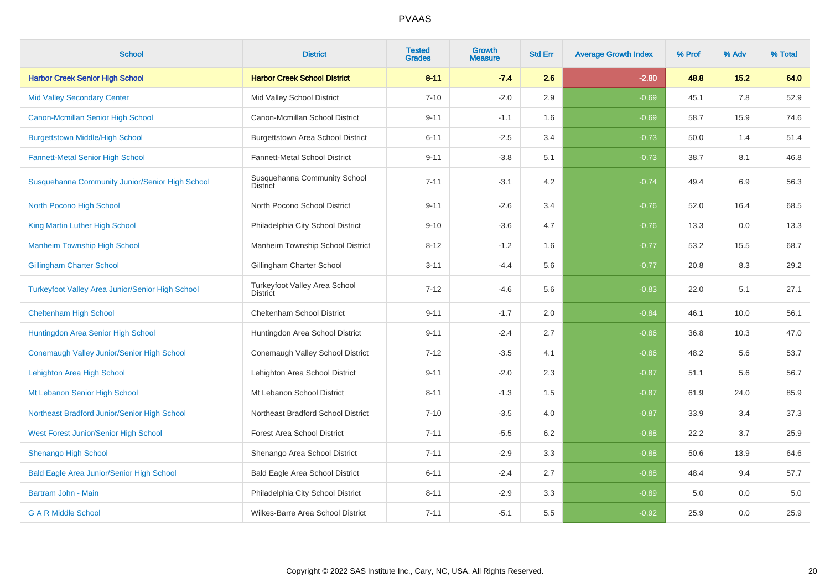| <b>School</b>                                           | <b>District</b>                                  | <b>Tested</b><br><b>Grades</b> | <b>Growth</b><br><b>Measure</b> | <b>Std Err</b> | <b>Average Growth Index</b> | % Prof | % Adv | % Total |
|---------------------------------------------------------|--------------------------------------------------|--------------------------------|---------------------------------|----------------|-----------------------------|--------|-------|---------|
| <b>Harbor Creek Senior High School</b>                  | <b>Harbor Creek School District</b>              | $8 - 11$                       | $-7.4$                          | 2.6            | $-2.80$                     | 48.8   | 15.2  | 64.0    |
| <b>Mid Valley Secondary Center</b>                      | Mid Valley School District                       | $7 - 10$                       | $-2.0$                          | 2.9            | $-0.69$                     | 45.1   | 7.8   | 52.9    |
| Canon-Mcmillan Senior High School                       | Canon-Mcmillan School District                   | $9 - 11$                       | $-1.1$                          | 1.6            | $-0.69$                     | 58.7   | 15.9  | 74.6    |
| <b>Burgettstown Middle/High School</b>                  | Burgettstown Area School District                | $6 - 11$                       | $-2.5$                          | 3.4            | $-0.73$                     | 50.0   | 1.4   | 51.4    |
| <b>Fannett-Metal Senior High School</b>                 | Fannett-Metal School District                    | $9 - 11$                       | $-3.8$                          | 5.1            | $-0.73$                     | 38.7   | 8.1   | 46.8    |
| Susquehanna Community Junior/Senior High School         | Susquehanna Community School<br><b>District</b>  | $7 - 11$                       | $-3.1$                          | 4.2            | $-0.74$                     | 49.4   | 6.9   | 56.3    |
| North Pocono High School                                | North Pocono School District                     | $9 - 11$                       | $-2.6$                          | 3.4            | $-0.76$                     | 52.0   | 16.4  | 68.5    |
| King Martin Luther High School                          | Philadelphia City School District                | $9 - 10$                       | $-3.6$                          | 4.7            | $-0.76$                     | 13.3   | 0.0   | 13.3    |
| <b>Manheim Township High School</b>                     | Manheim Township School District                 | $8 - 12$                       | $-1.2$                          | 1.6            | $-0.77$                     | 53.2   | 15.5  | 68.7    |
| <b>Gillingham Charter School</b>                        | Gillingham Charter School                        | $3 - 11$                       | $-4.4$                          | 5.6            | $-0.77$                     | 20.8   | 8.3   | 29.2    |
| <b>Turkeyfoot Valley Area Junior/Senior High School</b> | Turkeyfoot Valley Area School<br><b>District</b> | $7 - 12$                       | $-4.6$                          | 5.6            | $-0.83$                     | 22.0   | 5.1   | 27.1    |
| <b>Cheltenham High School</b>                           | Cheltenham School District                       | $9 - 11$                       | $-1.7$                          | 2.0            | $-0.84$                     | 46.1   | 10.0  | 56.1    |
| Huntingdon Area Senior High School                      | Huntingdon Area School District                  | $9 - 11$                       | $-2.4$                          | 2.7            | $-0.86$                     | 36.8   | 10.3  | 47.0    |
| Conemaugh Valley Junior/Senior High School              | Conemaugh Valley School District                 | $7 - 12$                       | $-3.5$                          | 4.1            | $-0.86$                     | 48.2   | 5.6   | 53.7    |
| Lehighton Area High School                              | Lehighton Area School District                   | $9 - 11$                       | $-2.0$                          | 2.3            | $-0.87$                     | 51.1   | 5.6   | 56.7    |
| Mt Lebanon Senior High School                           | Mt Lebanon School District                       | $8 - 11$                       | $-1.3$                          | 1.5            | $-0.87$                     | 61.9   | 24.0  | 85.9    |
| Northeast Bradford Junior/Senior High School            | Northeast Bradford School District               | $7 - 10$                       | $-3.5$                          | 4.0            | $-0.87$                     | 33.9   | 3.4   | 37.3    |
| West Forest Junior/Senior High School                   | <b>Forest Area School District</b>               | $7 - 11$                       | $-5.5$                          | 6.2            | $-0.88$                     | 22.2   | 3.7   | 25.9    |
| <b>Shenango High School</b>                             | Shenango Area School District                    | $7 - 11$                       | $-2.9$                          | 3.3            | $-0.88$                     | 50.6   | 13.9  | 64.6    |
| <b>Bald Eagle Area Junior/Senior High School</b>        | Bald Eagle Area School District                  | $6 - 11$                       | $-2.4$                          | 2.7            | $-0.88$                     | 48.4   | 9.4   | 57.7    |
| Bartram John - Main                                     | Philadelphia City School District                | $8 - 11$                       | $-2.9$                          | 3.3            | $-0.89$                     | 5.0    | 0.0   | 5.0     |
| <b>G A R Middle School</b>                              | Wilkes-Barre Area School District                | $7 - 11$                       | $-5.1$                          | 5.5            | $-0.92$                     | 25.9   | 0.0   | 25.9    |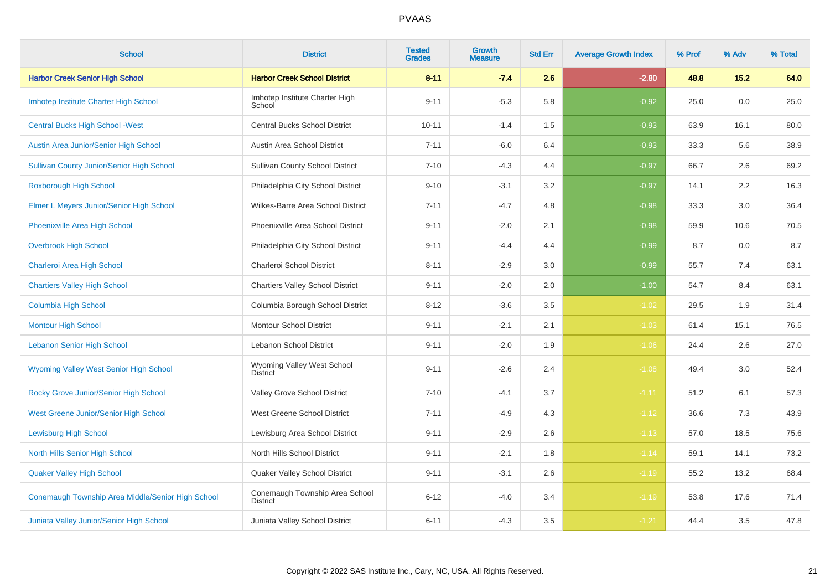| <b>School</b>                                     | <b>District</b>                                   | <b>Tested</b><br><b>Grades</b> | Growth<br>Measure | <b>Std Err</b> | <b>Average Growth Index</b> | % Prof | % Adv | % Total |
|---------------------------------------------------|---------------------------------------------------|--------------------------------|-------------------|----------------|-----------------------------|--------|-------|---------|
| <b>Harbor Creek Senior High School</b>            | <b>Harbor Creek School District</b>               | $8 - 11$                       | $-7.4$            | 2.6            | $-2.80$                     | 48.8   | 15.2  | 64.0    |
| Imhotep Institute Charter High School             | Imhotep Institute Charter High<br>School          | $9 - 11$                       | $-5.3$            | 5.8            | $-0.92$                     | 25.0   | 0.0   | 25.0    |
| <b>Central Bucks High School - West</b>           | <b>Central Bucks School District</b>              | $10 - 11$                      | $-1.4$            | 1.5            | $-0.93$                     | 63.9   | 16.1  | 80.0    |
| Austin Area Junior/Senior High School             | Austin Area School District                       | $7 - 11$                       | $-6.0$            | 6.4            | $-0.93$                     | 33.3   | 5.6   | 38.9    |
| <b>Sullivan County Junior/Senior High School</b>  | <b>Sullivan County School District</b>            | $7 - 10$                       | $-4.3$            | 4.4            | $-0.97$                     | 66.7   | 2.6   | 69.2    |
| <b>Roxborough High School</b>                     | Philadelphia City School District                 | $9 - 10$                       | $-3.1$            | $3.2\,$        | $-0.97$                     | 14.1   | 2.2   | 16.3    |
| Elmer L Meyers Junior/Senior High School          | Wilkes-Barre Area School District                 | $7 - 11$                       | $-4.7$            | 4.8            | $-0.98$                     | 33.3   | 3.0   | 36.4    |
| Phoenixville Area High School                     | Phoenixville Area School District                 | $9 - 11$                       | $-2.0$            | 2.1            | $-0.98$                     | 59.9   | 10.6  | 70.5    |
| <b>Overbrook High School</b>                      | Philadelphia City School District                 | $9 - 11$                       | $-4.4$            | 4.4            | $-0.99$                     | 8.7    | 0.0   | 8.7     |
| Charleroi Area High School                        | Charleroi School District                         | $8 - 11$                       | $-2.9$            | 3.0            | $-0.99$                     | 55.7   | 7.4   | 63.1    |
| <b>Chartiers Valley High School</b>               | <b>Chartiers Valley School District</b>           | $9 - 11$                       | $-2.0$            | 2.0            | $-1.00$                     | 54.7   | 8.4   | 63.1    |
| Columbia High School                              | Columbia Borough School District                  | $8 - 12$                       | $-3.6$            | 3.5            | $-1.02$                     | 29.5   | 1.9   | 31.4    |
| <b>Montour High School</b>                        | <b>Montour School District</b>                    | $9 - 11$                       | $-2.1$            | 2.1            | $-1.03$                     | 61.4   | 15.1  | 76.5    |
| <b>Lebanon Senior High School</b>                 | Lebanon School District                           | $9 - 11$                       | $-2.0$            | 1.9            | $-1.06$                     | 24.4   | 2.6   | 27.0    |
| <b>Wyoming Valley West Senior High School</b>     | Wyoming Valley West School<br><b>District</b>     | $9 - 11$                       | $-2.6$            | 2.4            | $-1.08$                     | 49.4   | 3.0   | 52.4    |
| Rocky Grove Junior/Senior High School             | Valley Grove School District                      | $7 - 10$                       | $-4.1$            | 3.7            | $-1.11$                     | 51.2   | 6.1   | 57.3    |
| West Greene Junior/Senior High School             | West Greene School District                       | $7 - 11$                       | $-4.9$            | 4.3            | $-1.12$                     | 36.6   | 7.3   | 43.9    |
| <b>Lewisburg High School</b>                      | Lewisburg Area School District                    | $9 - 11$                       | $-2.9$            | 2.6            | $-1.13$                     | 57.0   | 18.5  | 75.6    |
| North Hills Senior High School                    | North Hills School District                       | $9 - 11$                       | $-2.1$            | 1.8            | $-1.14$                     | 59.1   | 14.1  | 73.2    |
| <b>Quaker Valley High School</b>                  | Quaker Valley School District                     | $9 - 11$                       | $-3.1$            | 2.6            | $-1.19$                     | 55.2   | 13.2  | 68.4    |
| Conemaugh Township Area Middle/Senior High School | Conemaugh Township Area School<br><b>District</b> | $6 - 12$                       | $-4.0$            | 3.4            | $-1.19$                     | 53.8   | 17.6  | 71.4    |
| Juniata Valley Junior/Senior High School          | Juniata Valley School District                    | $6 - 11$                       | $-4.3$            | 3.5            | $-1.21$                     | 44.4   | 3.5   | 47.8    |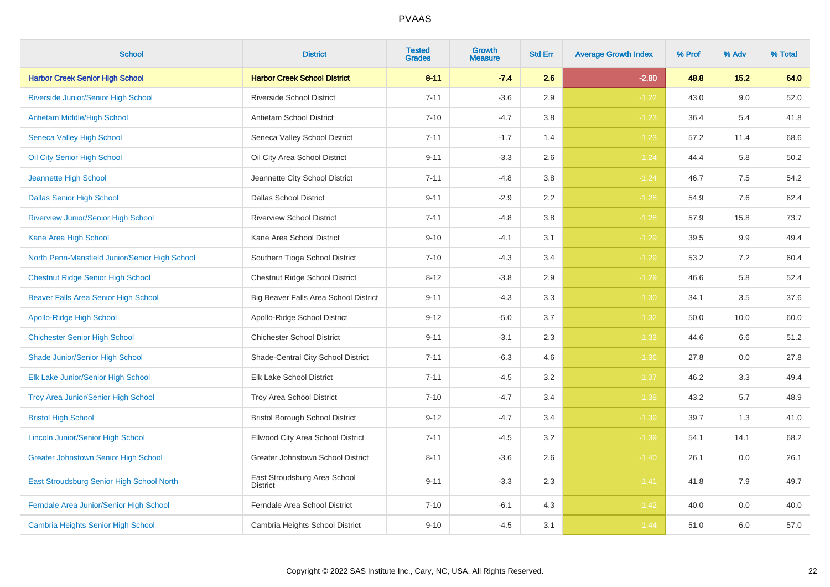| <b>School</b>                                  | <b>District</b>                                 | <b>Tested</b><br><b>Grades</b> | <b>Growth</b><br><b>Measure</b> | <b>Std Err</b> | <b>Average Growth Index</b> | % Prof | % Adv | % Total |
|------------------------------------------------|-------------------------------------------------|--------------------------------|---------------------------------|----------------|-----------------------------|--------|-------|---------|
| <b>Harbor Creek Senior High School</b>         | <b>Harbor Creek School District</b>             | $8 - 11$                       | $-7.4$                          | 2.6            | $-2.80$                     | 48.8   | 15.2  | 64.0    |
| Riverside Junior/Senior High School            | <b>Riverside School District</b>                | $7 - 11$                       | $-3.6$                          | 2.9            | $-1.22$                     | 43.0   | 9.0   | 52.0    |
| Antietam Middle/High School                    | <b>Antietam School District</b>                 | $7 - 10$                       | $-4.7$                          | 3.8            | $-1.23$                     | 36.4   | 5.4   | 41.8    |
| Seneca Valley High School                      | Seneca Valley School District                   | $7 - 11$                       | $-1.7$                          | 1.4            | $-1.23$                     | 57.2   | 11.4  | 68.6    |
| Oil City Senior High School                    | Oil City Area School District                   | $9 - 11$                       | $-3.3$                          | 2.6            | $-1.24$                     | 44.4   | 5.8   | 50.2    |
| Jeannette High School                          | Jeannette City School District                  | $7 - 11$                       | $-4.8$                          | 3.8            | $-1.24$                     | 46.7   | 7.5   | 54.2    |
| <b>Dallas Senior High School</b>               | <b>Dallas School District</b>                   | $9 - 11$                       | $-2.9$                          | 2.2            | $-1.28$                     | 54.9   | 7.6   | 62.4    |
| <b>Riverview Junior/Senior High School</b>     | <b>Riverview School District</b>                | $7 - 11$                       | $-4.8$                          | 3.8            | $-1.28$                     | 57.9   | 15.8  | 73.7    |
| Kane Area High School                          | Kane Area School District                       | $9 - 10$                       | $-4.1$                          | 3.1            | $-1.29$                     | 39.5   | 9.9   | 49.4    |
| North Penn-Mansfield Junior/Senior High School | Southern Tioga School District                  | $7 - 10$                       | $-4.3$                          | 3.4            | $-1.29$                     | 53.2   | 7.2   | 60.4    |
| <b>Chestnut Ridge Senior High School</b>       | Chestnut Ridge School District                  | $8 - 12$                       | $-3.8$                          | 2.9            | $-1.29$                     | 46.6   | 5.8   | 52.4    |
| Beaver Falls Area Senior High School           | Big Beaver Falls Area School District           | $9 - 11$                       | $-4.3$                          | 3.3            | $-1.30$                     | 34.1   | 3.5   | 37.6    |
| Apollo-Ridge High School                       | Apollo-Ridge School District                    | $9 - 12$                       | $-5.0$                          | 3.7            | $-1.32$                     | 50.0   | 10.0  | 60.0    |
| <b>Chichester Senior High School</b>           | <b>Chichester School District</b>               | $9 - 11$                       | $-3.1$                          | 2.3            | $-1.33$                     | 44.6   | 6.6   | 51.2    |
| Shade Junior/Senior High School                | Shade-Central City School District              | $7 - 11$                       | $-6.3$                          | 4.6            | $-1.36$                     | 27.8   | 0.0   | 27.8    |
| Elk Lake Junior/Senior High School             | <b>Elk Lake School District</b>                 | $7 - 11$                       | $-4.5$                          | 3.2            | $-1.37$                     | 46.2   | 3.3   | 49.4    |
| Troy Area Junior/Senior High School            | Troy Area School District                       | $7 - 10$                       | $-4.7$                          | 3.4            | $-1.38$                     | 43.2   | 5.7   | 48.9    |
| <b>Bristol High School</b>                     | <b>Bristol Borough School District</b>          | $9 - 12$                       | $-4.7$                          | 3.4            | $-1.39$                     | 39.7   | 1.3   | 41.0    |
| <b>Lincoln Junior/Senior High School</b>       | Ellwood City Area School District               | $7 - 11$                       | $-4.5$                          | 3.2            | $-1.39$                     | 54.1   | 14.1  | 68.2    |
| <b>Greater Johnstown Senior High School</b>    | Greater Johnstown School District               | $8 - 11$                       | $-3.6$                          | 2.6            | $-1.40$                     | 26.1   | 0.0   | 26.1    |
| East Stroudsburg Senior High School North      | East Stroudsburg Area School<br><b>District</b> | $9 - 11$                       | $-3.3$                          | 2.3            | $-1.41$                     | 41.8   | 7.9   | 49.7    |
| Ferndale Area Junior/Senior High School        | Ferndale Area School District                   | $7 - 10$                       | $-6.1$                          | 4.3            | $-1.42$                     | 40.0   | 0.0   | 40.0    |
| Cambria Heights Senior High School             | Cambria Heights School District                 | $9 - 10$                       | $-4.5$                          | 3.1            | $-1.44$                     | 51.0   | 6.0   | 57.0    |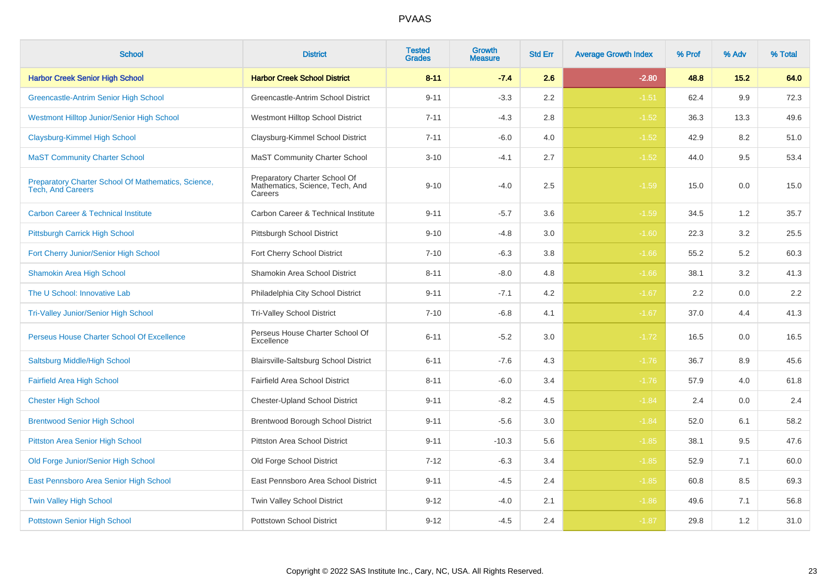| <b>School</b>                                                                   | <b>District</b>                                                             | <b>Tested</b><br><b>Grades</b> | Growth<br>Measure | <b>Std Err</b> | <b>Average Growth Index</b> | % Prof | % Adv | % Total |
|---------------------------------------------------------------------------------|-----------------------------------------------------------------------------|--------------------------------|-------------------|----------------|-----------------------------|--------|-------|---------|
| <b>Harbor Creek Senior High School</b>                                          | <b>Harbor Creek School District</b>                                         | $8 - 11$                       | $-7.4$            | 2.6            | $-2.80$                     | 48.8   | 15.2  | 64.0    |
| <b>Greencastle-Antrim Senior High School</b>                                    | Greencastle-Antrim School District                                          | $9 - 11$                       | $-3.3$            | 2.2            | $-1.51$                     | 62.4   | 9.9   | 72.3    |
| <b>Westmont Hilltop Junior/Senior High School</b>                               | Westmont Hilltop School District                                            | $7 - 11$                       | $-4.3$            | 2.8            | $-1.52$                     | 36.3   | 13.3  | 49.6    |
| Claysburg-Kimmel High School                                                    | Claysburg-Kimmel School District                                            | $7 - 11$                       | $-6.0$            | 4.0            | $-1.52$                     | 42.9   | 8.2   | 51.0    |
| <b>MaST Community Charter School</b>                                            | <b>MaST Community Charter School</b>                                        | $3 - 10$                       | $-4.1$            | 2.7            | $-1.52$                     | 44.0   | 9.5   | 53.4    |
| Preparatory Charter School Of Mathematics, Science,<br><b>Tech, And Careers</b> | Preparatory Charter School Of<br>Mathematics, Science, Tech, And<br>Careers | $9 - 10$                       | $-4.0$            | 2.5            | $-1.59$                     | 15.0   | 0.0   | 15.0    |
| <b>Carbon Career &amp; Technical Institute</b>                                  | Carbon Career & Technical Institute                                         | $9 - 11$                       | $-5.7$            | 3.6            | $-1.59$                     | 34.5   | 1.2   | 35.7    |
| Pittsburgh Carrick High School                                                  | Pittsburgh School District                                                  | $9 - 10$                       | $-4.8$            | 3.0            | $-1.60$                     | 22.3   | 3.2   | 25.5    |
| Fort Cherry Junior/Senior High School                                           | Fort Cherry School District                                                 | $7 - 10$                       | $-6.3$            | 3.8            | $-1.66$                     | 55.2   | 5.2   | 60.3    |
| <b>Shamokin Area High School</b>                                                | Shamokin Area School District                                               | $8 - 11$                       | $-8.0$            | 4.8            | $-1.66$                     | 38.1   | 3.2   | 41.3    |
| The U School: Innovative Lab                                                    | Philadelphia City School District                                           | $9 - 11$                       | $-7.1$            | 4.2            | $-1.67$                     | 2.2    | 0.0   | $2.2\,$ |
| <b>Tri-Valley Junior/Senior High School</b>                                     | <b>Tri-Valley School District</b>                                           | $7 - 10$                       | $-6.8$            | 4.1            | $-1.67$                     | 37.0   | 4.4   | 41.3    |
| Perseus House Charter School Of Excellence                                      | Perseus House Charter School Of<br>Excellence                               | $6 - 11$                       | $-5.2$            | 3.0            | $-1.72$                     | 16.5   | 0.0   | 16.5    |
| Saltsburg Middle/High School                                                    | <b>Blairsville-Saltsburg School District</b>                                | $6 - 11$                       | $-7.6$            | 4.3            | $-1.76$                     | 36.7   | 8.9   | 45.6    |
| <b>Fairfield Area High School</b>                                               | Fairfield Area School District                                              | $8 - 11$                       | $-6.0$            | 3.4            | $-1.76$                     | 57.9   | 4.0   | 61.8    |
| <b>Chester High School</b>                                                      | <b>Chester-Upland School District</b>                                       | $9 - 11$                       | $-8.2$            | 4.5            | $-1.84$                     | 2.4    | 0.0   | 2.4     |
| <b>Brentwood Senior High School</b>                                             | Brentwood Borough School District                                           | $9 - 11$                       | $-5.6$            | $3.0\,$        | $-1.84$                     | 52.0   | 6.1   | 58.2    |
| <b>Pittston Area Senior High School</b>                                         | Pittston Area School District                                               | $9 - 11$                       | $-10.3$           | 5.6            | $-1.85$                     | 38.1   | 9.5   | 47.6    |
| Old Forge Junior/Senior High School                                             | Old Forge School District                                                   | $7 - 12$                       | $-6.3$            | 3.4            | $-1.85$                     | 52.9   | 7.1   | 60.0    |
| East Pennsboro Area Senior High School                                          | East Pennsboro Area School District                                         | $9 - 11$                       | $-4.5$            | 2.4            | $-1.85$                     | 60.8   | 8.5   | 69.3    |
| <b>Twin Valley High School</b>                                                  | Twin Valley School District                                                 | $9 - 12$                       | $-4.0$            | 2.1            | $-1.86$                     | 49.6   | 7.1   | 56.8    |
| <b>Pottstown Senior High School</b>                                             | Pottstown School District                                                   | $9 - 12$                       | $-4.5$            | 2.4            | $-1.87$                     | 29.8   | 1.2   | 31.0    |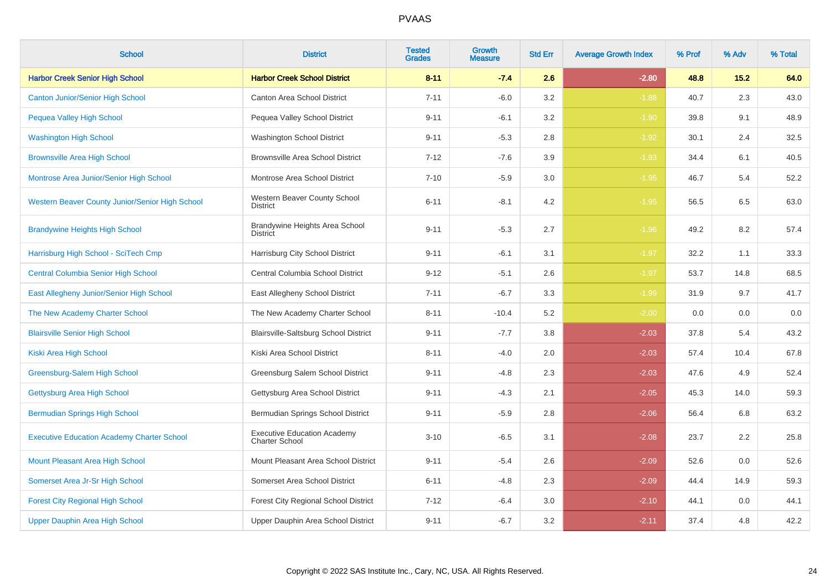| <b>School</b>                                     | <b>District</b>                                             | <b>Tested</b><br><b>Grades</b> | Growth<br>Measure | <b>Std Err</b> | <b>Average Growth Index</b> | % Prof | % Adv | % Total |
|---------------------------------------------------|-------------------------------------------------------------|--------------------------------|-------------------|----------------|-----------------------------|--------|-------|---------|
| <b>Harbor Creek Senior High School</b>            | <b>Harbor Creek School District</b>                         | $8 - 11$                       | $-7.4$            | 2.6            | $-2.80$                     | 48.8   | 15.2  | 64.0    |
| <b>Canton Junior/Senior High School</b>           | <b>Canton Area School District</b>                          | $7 - 11$                       | $-6.0$            | 3.2            | $-1.88$                     | 40.7   | 2.3   | 43.0    |
| Pequea Valley High School                         | Pequea Valley School District                               | $9 - 11$                       | $-6.1$            | 3.2            | $-1.90$                     | 39.8   | 9.1   | 48.9    |
| <b>Washington High School</b>                     | Washington School District                                  | $9 - 11$                       | $-5.3$            | $2.8\,$        | $-1.92$                     | 30.1   | 2.4   | 32.5    |
| <b>Brownsville Area High School</b>               | <b>Brownsville Area School District</b>                     | $7 - 12$                       | $-7.6$            | 3.9            | $-1.93$                     | 34.4   | 6.1   | 40.5    |
| Montrose Area Junior/Senior High School           | Montrose Area School District                               | $7 - 10$                       | $-5.9$            | 3.0            | $-1.95$                     | 46.7   | 5.4   | 52.2    |
| Western Beaver County Junior/Senior High School   | Western Beaver County School<br>District                    | $6 - 11$                       | $-8.1$            | 4.2            | $-1.95$                     | 56.5   | 6.5   | 63.0    |
| <b>Brandywine Heights High School</b>             | Brandywine Heights Area School<br><b>District</b>           | $9 - 11$                       | $-5.3$            | 2.7            | $-1.96$                     | 49.2   | 8.2   | 57.4    |
| Harrisburg High School - SciTech Cmp              | Harrisburg City School District                             | $9 - 11$                       | $-6.1$            | 3.1            | $-1.97$                     | 32.2   | 1.1   | 33.3    |
| <b>Central Columbia Senior High School</b>        | Central Columbia School District                            | $9 - 12$                       | $-5.1$            | 2.6            | $-1.97$                     | 53.7   | 14.8  | 68.5    |
| East Allegheny Junior/Senior High School          | East Allegheny School District                              | $7 - 11$                       | $-6.7$            | 3.3            | $-1.99$                     | 31.9   | 9.7   | 41.7    |
| The New Academy Charter School                    | The New Academy Charter School                              | $8 - 11$                       | $-10.4$           | 5.2            | $-2.00$                     | 0.0    | 0.0   | 0.0     |
| <b>Blairsville Senior High School</b>             | <b>Blairsville-Saltsburg School District</b>                | $9 - 11$                       | $-7.7$            | 3.8            | $-2.03$                     | 37.8   | 5.4   | 43.2    |
| Kiski Area High School                            | Kiski Area School District                                  | $8 - 11$                       | $-4.0$            | 2.0            | $-2.03$                     | 57.4   | 10.4  | 67.8    |
| Greensburg-Salem High School                      | Greensburg Salem School District                            | $9 - 11$                       | $-4.8$            | 2.3            | $-2.03$                     | 47.6   | 4.9   | 52.4    |
| Gettysburg Area High School                       | Gettysburg Area School District                             | $9 - 11$                       | $-4.3$            | 2.1            | $-2.05$                     | 45.3   | 14.0  | 59.3    |
| <b>Bermudian Springs High School</b>              | Bermudian Springs School District                           | $9 - 11$                       | $-5.9$            | 2.8            | $-2.06$                     | 56.4   | 6.8   | 63.2    |
| <b>Executive Education Academy Charter School</b> | <b>Executive Education Academy</b><br><b>Charter School</b> | $3 - 10$                       | $-6.5$            | 3.1            | $-2.08$                     | 23.7   | 2.2   | 25.8    |
| Mount Pleasant Area High School                   | Mount Pleasant Area School District                         | $9 - 11$                       | $-5.4$            | 2.6            | $-2.09$                     | 52.6   | 0.0   | 52.6    |
| Somerset Area Jr-Sr High School                   | Somerset Area School District                               | $6 - 11$                       | $-4.8$            | 2.3            | $-2.09$                     | 44.4   | 14.9  | 59.3    |
| <b>Forest City Regional High School</b>           | <b>Forest City Regional School District</b>                 | $7 - 12$                       | $-6.4$            | 3.0            | $-2.10$                     | 44.1   | 0.0   | 44.1    |
| <b>Upper Dauphin Area High School</b>             | Upper Dauphin Area School District                          | $9 - 11$                       | $-6.7$            | 3.2            | $-2.11$                     | 37.4   | 4.8   | 42.2    |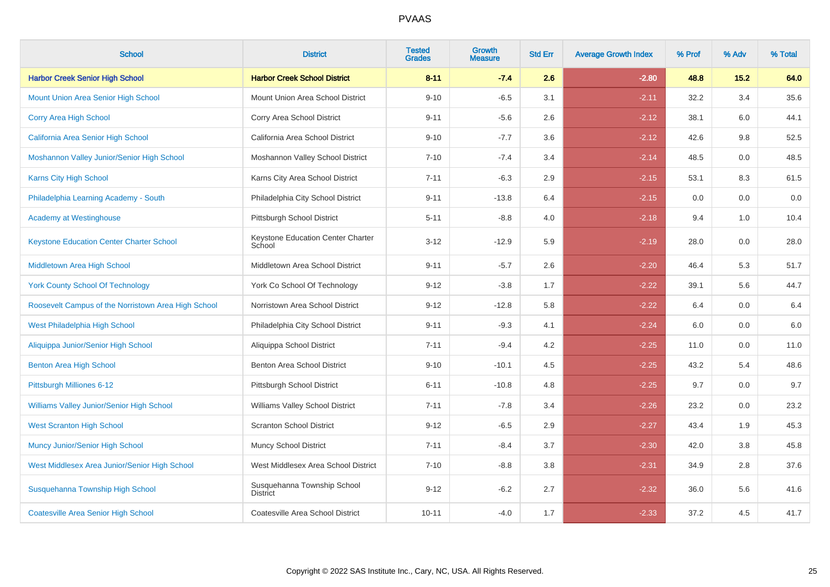| <b>School</b>                                       | <b>District</b>                                | <b>Tested</b><br><b>Grades</b> | <b>Growth</b><br><b>Measure</b> | <b>Std Err</b> | <b>Average Growth Index</b> | % Prof | % Adv | % Total |
|-----------------------------------------------------|------------------------------------------------|--------------------------------|---------------------------------|----------------|-----------------------------|--------|-------|---------|
| <b>Harbor Creek Senior High School</b>              | <b>Harbor Creek School District</b>            | $8 - 11$                       | $-7.4$                          | 2.6            | $-2.80$                     | 48.8   | 15.2  | 64.0    |
| <b>Mount Union Area Senior High School</b>          | Mount Union Area School District               | $9 - 10$                       | $-6.5$                          | 3.1            | $-2.11$                     | 32.2   | 3.4   | 35.6    |
| Corry Area High School                              | Corry Area School District                     | $9 - 11$                       | $-5.6$                          | 2.6            | $-2.12$                     | 38.1   | 6.0   | 44.1    |
| California Area Senior High School                  | California Area School District                | $9 - 10$                       | $-7.7$                          | 3.6            | $-2.12$                     | 42.6   | 9.8   | 52.5    |
| Moshannon Valley Junior/Senior High School          | Moshannon Valley School District               | $7 - 10$                       | $-7.4$                          | 3.4            | $-2.14$                     | 48.5   | 0.0   | 48.5    |
| Karns City High School                              | Karns City Area School District                | $7 - 11$                       | $-6.3$                          | 2.9            | $-2.15$                     | 53.1   | 8.3   | 61.5    |
| Philadelphia Learning Academy - South               | Philadelphia City School District              | $9 - 11$                       | $-13.8$                         | 6.4            | $-2.15$                     | 0.0    | 0.0   | $0.0\,$ |
| <b>Academy at Westinghouse</b>                      | Pittsburgh School District                     | $5 - 11$                       | $-8.8$                          | 4.0            | $-2.18$                     | 9.4    | 1.0   | 10.4    |
| <b>Keystone Education Center Charter School</b>     | Keystone Education Center Charter<br>School    | $3 - 12$                       | $-12.9$                         | 5.9            | $-2.19$                     | 28.0   | 0.0   | 28.0    |
| Middletown Area High School                         | Middletown Area School District                | $9 - 11$                       | $-5.7$                          | 2.6            | $-2.20$                     | 46.4   | 5.3   | 51.7    |
| <b>York County School Of Technology</b>             | York Co School Of Technology                   | $9 - 12$                       | $-3.8$                          | 1.7            | $-2.22$                     | 39.1   | 5.6   | 44.7    |
| Roosevelt Campus of the Norristown Area High School | Norristown Area School District                | $9 - 12$                       | $-12.8$                         | 5.8            | $-2.22$                     | 6.4    | 0.0   | $6.4\,$ |
| West Philadelphia High School                       | Philadelphia City School District              | $9 - 11$                       | $-9.3$                          | 4.1            | $-2.24$                     | 6.0    | 0.0   | $6.0\,$ |
| Aliquippa Junior/Senior High School                 | Aliquippa School District                      | $7 - 11$                       | $-9.4$                          | 4.2            | $-2.25$                     | 11.0   | 0.0   | 11.0    |
| <b>Benton Area High School</b>                      | Benton Area School District                    | $9 - 10$                       | $-10.1$                         | 4.5            | $-2.25$                     | 43.2   | 5.4   | 48.6    |
| Pittsburgh Milliones 6-12                           | Pittsburgh School District                     | $6 - 11$                       | $-10.8$                         | 4.8            | $-2.25$                     | 9.7    | 0.0   | 9.7     |
| Williams Valley Junior/Senior High School           | Williams Valley School District                | $7 - 11$                       | $-7.8$                          | 3.4            | $-2.26$                     | 23.2   | 0.0   | 23.2    |
| <b>West Scranton High School</b>                    | <b>Scranton School District</b>                | $9 - 12$                       | $-6.5$                          | 2.9            | $-2.27$                     | 43.4   | 1.9   | 45.3    |
| <b>Muncy Junior/Senior High School</b>              | Muncy School District                          | $7 - 11$                       | $-8.4$                          | 3.7            | $-2.30$                     | 42.0   | 3.8   | 45.8    |
| West Middlesex Area Junior/Senior High School       | West Middlesex Area School District            | $7 - 10$                       | $-8.8$                          | 3.8            | $-2.31$                     | 34.9   | 2.8   | 37.6    |
| Susquehanna Township High School                    | Susquehanna Township School<br><b>District</b> | $9 - 12$                       | $-6.2$                          | 2.7            | $-2.32$                     | 36.0   | 5.6   | 41.6    |
| <b>Coatesville Area Senior High School</b>          | Coatesville Area School District               | $10 - 11$                      | $-4.0$                          | 1.7            | $-2.33$                     | 37.2   | 4.5   | 41.7    |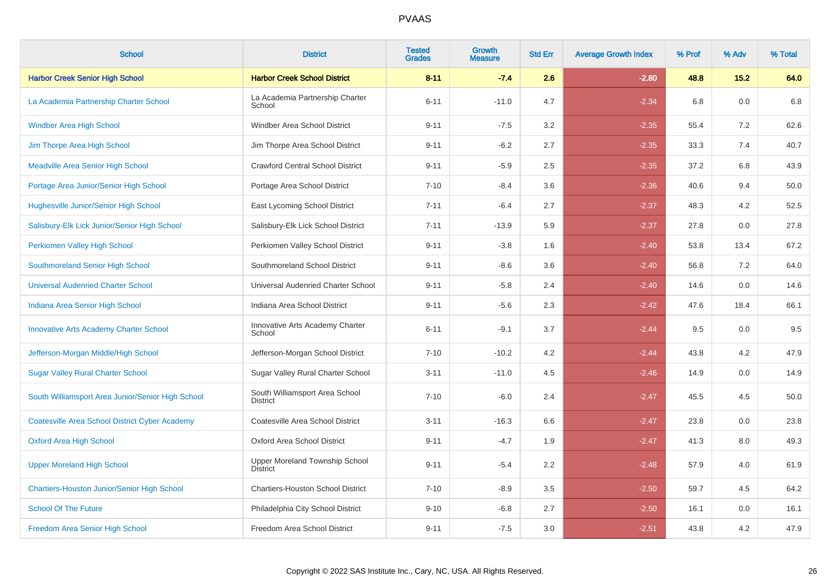| <b>School</b>                                         | <b>District</b>                                   | <b>Tested</b><br><b>Grades</b> | <b>Growth</b><br><b>Measure</b> | <b>Std Err</b> | <b>Average Growth Index</b> | % Prof | % Adv | % Total |
|-------------------------------------------------------|---------------------------------------------------|--------------------------------|---------------------------------|----------------|-----------------------------|--------|-------|---------|
| <b>Harbor Creek Senior High School</b>                | <b>Harbor Creek School District</b>               | $8 - 11$                       | $-7.4$                          | 2.6            | $-2.80$                     | 48.8   | 15.2  | 64.0    |
| La Academia Partnership Charter School                | La Academia Partnership Charter<br>School         | $6 - 11$                       | $-11.0$                         | 4.7            | $-2.34$                     | 6.8    | 0.0   | 6.8     |
| <b>Windber Area High School</b>                       | Windber Area School District                      | $9 - 11$                       | $-7.5$                          | 3.2            | $-2.35$                     | 55.4   | 7.2   | 62.6    |
| Jim Thorpe Area High School                           | Jim Thorpe Area School District                   | $9 - 11$                       | $-6.2$                          | 2.7            | $-2.35$                     | 33.3   | 7.4   | 40.7    |
| <b>Meadville Area Senior High School</b>              | <b>Crawford Central School District</b>           | $9 - 11$                       | $-5.9$                          | 2.5            | $-2.35$                     | 37.2   | 6.8   | 43.9    |
| Portage Area Junior/Senior High School                | Portage Area School District                      | $7 - 10$                       | $-8.4$                          | 3.6            | $-2.36$                     | 40.6   | 9.4   | 50.0    |
| Hughesville Junior/Senior High School                 | East Lycoming School District                     | $7 - 11$                       | $-6.4$                          | 2.7            | $-2.37$                     | 48.3   | 4.2   | 52.5    |
| Salisbury-Elk Lick Junior/Senior High School          | Salisbury-Elk Lick School District                | $7 - 11$                       | $-13.9$                         | 5.9            | $-2.37$                     | 27.8   | 0.0   | 27.8    |
| Perkiomen Valley High School                          | Perkiomen Valley School District                  | $9 - 11$                       | $-3.8$                          | 1.6            | $-2.40$                     | 53.8   | 13.4  | 67.2    |
| Southmoreland Senior High School                      | Southmoreland School District                     | $9 - 11$                       | $-8.6$                          | 3.6            | $-2.40$                     | 56.8   | 7.2   | 64.0    |
| <b>Universal Audenried Charter School</b>             | Universal Audenried Charter School                | $9 - 11$                       | $-5.8$                          | 2.4            | $-2.40$                     | 14.6   | 0.0   | 14.6    |
| Indiana Area Senior High School                       | Indiana Area School District                      | $9 - 11$                       | $-5.6$                          | 2.3            | $-2.42$                     | 47.6   | 18.4  | 66.1    |
| <b>Innovative Arts Academy Charter School</b>         | Innovative Arts Academy Charter<br>School         | $6 - 11$                       | $-9.1$                          | 3.7            | $-2.44$                     | 9.5    | 0.0   | 9.5     |
| Jefferson-Morgan Middle/High School                   | Jefferson-Morgan School District                  | $7 - 10$                       | $-10.2$                         | 4.2            | $-2.44$                     | 43.8   | 4.2   | 47.9    |
| <b>Sugar Valley Rural Charter School</b>              | Sugar Valley Rural Charter School                 | $3 - 11$                       | $-11.0$                         | 4.5            | $-2.46$                     | 14.9   | 0.0   | 14.9    |
| South Williamsport Area Junior/Senior High School     | South Williamsport Area School<br><b>District</b> | $7 - 10$                       | $-6.0$                          | 2.4            | $-2.47$                     | 45.5   | 4.5   | 50.0    |
| <b>Coatesville Area School District Cyber Academy</b> | Coatesville Area School District                  | $3 - 11$                       | $-16.3$                         | 6.6            | $-2.47$                     | 23.8   | 0.0   | 23.8    |
| <b>Oxford Area High School</b>                        | Oxford Area School District                       | $9 - 11$                       | $-4.7$                          | 1.9            | $-2.47$                     | 41.3   | 8.0   | 49.3    |
| <b>Upper Moreland High School</b>                     | Upper Moreland Township School<br><b>District</b> | $9 - 11$                       | $-5.4$                          | 2.2            | $-2.48$                     | 57.9   | 4.0   | 61.9    |
| <b>Chartiers-Houston Junior/Senior High School</b>    | <b>Chartiers-Houston School District</b>          | $7 - 10$                       | $-8.9$                          | 3.5            | $-2.50$                     | 59.7   | 4.5   | 64.2    |
| <b>School Of The Future</b>                           | Philadelphia City School District                 | $9 - 10$                       | $-6.8$                          | 2.7            | $-2.50$                     | 16.1   | 0.0   | 16.1    |
| Freedom Area Senior High School                       | Freedom Area School District                      | $9 - 11$                       | $-7.5$                          | 3.0            | $-2.51$                     | 43.8   | 4.2   | 47.9    |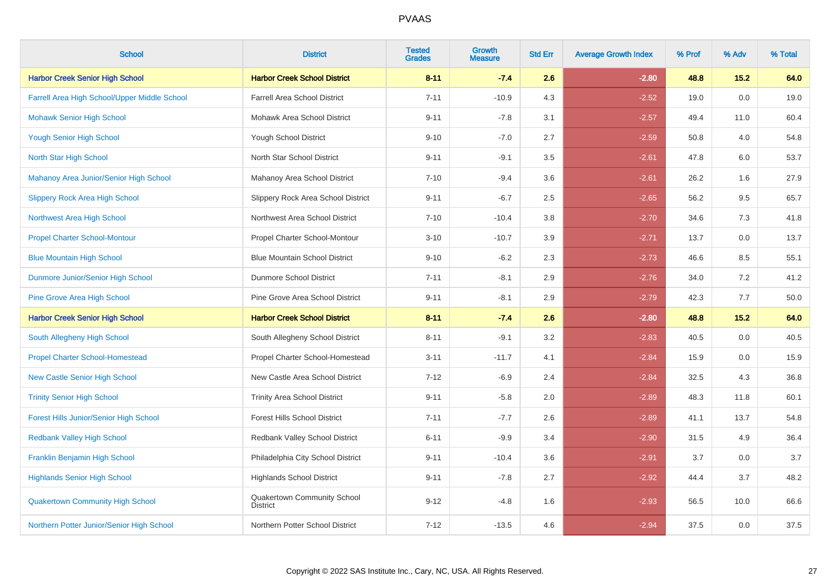| <b>School</b>                                 | <b>District</b>                                | <b>Tested</b><br><b>Grades</b> | <b>Growth</b><br><b>Measure</b> | <b>Std Err</b> | <b>Average Growth Index</b> | % Prof | % Adv | % Total |
|-----------------------------------------------|------------------------------------------------|--------------------------------|---------------------------------|----------------|-----------------------------|--------|-------|---------|
| <b>Harbor Creek Senior High School</b>        | <b>Harbor Creek School District</b>            | $8 - 11$                       | $-7.4$                          | 2.6            | $-2.80$                     | 48.8   | 15.2  | 64.0    |
| Farrell Area High School/Upper Middle School  | <b>Farrell Area School District</b>            | $7 - 11$                       | $-10.9$                         | 4.3            | $-2.52$                     | 19.0   | 0.0   | 19.0    |
| <b>Mohawk Senior High School</b>              | Mohawk Area School District                    | $9 - 11$                       | $-7.8$                          | 3.1            | $-2.57$                     | 49.4   | 11.0  | 60.4    |
| <b>Yough Senior High School</b>               | Yough School District                          | $9 - 10$                       | $-7.0$                          | 2.7            | $-2.59$                     | 50.8   | 4.0   | 54.8    |
| North Star High School                        | North Star School District                     | $9 - 11$                       | $-9.1$                          | 3.5            | $-2.61$                     | 47.8   | 6.0   | 53.7    |
| Mahanoy Area Junior/Senior High School        | Mahanoy Area School District                   | $7 - 10$                       | $-9.4$                          | 3.6            | $-2.61$                     | 26.2   | 1.6   | 27.9    |
| <b>Slippery Rock Area High School</b>         | Slippery Rock Area School District             | $9 - 11$                       | $-6.7$                          | 2.5            | $-2.65$                     | 56.2   | 9.5   | 65.7    |
| Northwest Area High School                    | Northwest Area School District                 | $7 - 10$                       | $-10.4$                         | 3.8            | $-2.70$                     | 34.6   | 7.3   | 41.8    |
| <b>Propel Charter School-Montour</b>          | Propel Charter School-Montour                  | $3 - 10$                       | $-10.7$                         | 3.9            | $-2.71$                     | 13.7   | 0.0   | 13.7    |
| <b>Blue Mountain High School</b>              | <b>Blue Mountain School District</b>           | $9 - 10$                       | $-6.2$                          | 2.3            | $-2.73$                     | 46.6   | 8.5   | 55.1    |
| Dunmore Junior/Senior High School             | <b>Dunmore School District</b>                 | $7 - 11$                       | $-8.1$                          | 2.9            | $-2.76$                     | 34.0   | 7.2   | 41.2    |
| <b>Pine Grove Area High School</b>            | Pine Grove Area School District                | $9 - 11$                       | $-8.1$                          | 2.9            | $-2.79$                     | 42.3   | 7.7   | 50.0    |
| <b>Harbor Creek Senior High School</b>        | <b>Harbor Creek School District</b>            | $8 - 11$                       | $-7.4$                          | 2.6            | $-2.80$                     | 48.8   | 15.2  | 64.0    |
| South Allegheny High School                   | South Allegheny School District                | $8 - 11$                       | $-9.1$                          | 3.2            | $-2.83$                     | 40.5   | 0.0   | 40.5    |
| <b>Propel Charter School-Homestead</b>        | Propel Charter School-Homestead                | $3 - 11$                       | $-11.7$                         | 4.1            | $-2.84$                     | 15.9   | 0.0   | 15.9    |
| <b>New Castle Senior High School</b>          | New Castle Area School District                | $7 - 12$                       | $-6.9$                          | 2.4            | $-2.84$                     | 32.5   | 4.3   | 36.8    |
| <b>Trinity Senior High School</b>             | <b>Trinity Area School District</b>            | $9 - 11$                       | $-5.8$                          | 2.0            | $-2.89$                     | 48.3   | 11.8  | 60.1    |
| <b>Forest Hills Junior/Senior High School</b> | <b>Forest Hills School District</b>            | $7 - 11$                       | $-7.7$                          | 2.6            | $-2.89$                     | 41.1   | 13.7  | 54.8    |
| <b>Redbank Valley High School</b>             | Redbank Valley School District                 | $6 - 11$                       | $-9.9$                          | 3.4            | $-2.90$                     | 31.5   | 4.9   | 36.4    |
| Franklin Benjamin High School                 | Philadelphia City School District              | $9 - 11$                       | $-10.4$                         | 3.6            | $-2.91$                     | 3.7    | 0.0   | 3.7     |
| <b>Highlands Senior High School</b>           | <b>Highlands School District</b>               | $9 - 11$                       | $-7.8$                          | 2.7            | $-2.92$                     | 44.4   | 3.7   | 48.2    |
| <b>Quakertown Community High School</b>       | Quakertown Community School<br><b>District</b> | $9 - 12$                       | $-4.8$                          | 1.6            | $-2.93$                     | 56.5   | 10.0  | 66.6    |
| Northern Potter Junior/Senior High School     | Northern Potter School District                | $7 - 12$                       | $-13.5$                         | 4.6            | $-2.94$                     | 37.5   | 0.0   | 37.5    |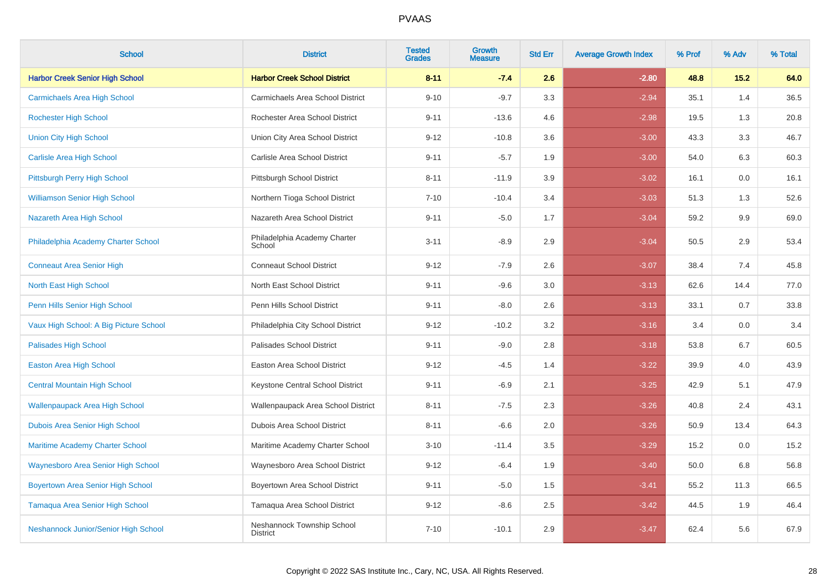| <b>School</b>                             | <b>District</b>                               | <b>Tested</b><br><b>Grades</b> | <b>Growth</b><br><b>Measure</b> | <b>Std Err</b> | <b>Average Growth Index</b> | % Prof | % Adv | % Total |
|-------------------------------------------|-----------------------------------------------|--------------------------------|---------------------------------|----------------|-----------------------------|--------|-------|---------|
| <b>Harbor Creek Senior High School</b>    | <b>Harbor Creek School District</b>           | $8 - 11$                       | $-7.4$                          | 2.6            | $-2.80$                     | 48.8   | 15.2  | 64.0    |
| <b>Carmichaels Area High School</b>       | Carmichaels Area School District              | $9 - 10$                       | $-9.7$                          | 3.3            | $-2.94$                     | 35.1   | 1.4   | 36.5    |
| <b>Rochester High School</b>              | Rochester Area School District                | $9 - 11$                       | $-13.6$                         | 4.6            | $-2.98$                     | 19.5   | 1.3   | 20.8    |
| <b>Union City High School</b>             | Union City Area School District               | $9 - 12$                       | $-10.8$                         | 3.6            | $-3.00$                     | 43.3   | 3.3   | 46.7    |
| <b>Carlisle Area High School</b>          | Carlisle Area School District                 | $9 - 11$                       | $-5.7$                          | 1.9            | $-3.00$                     | 54.0   | 6.3   | 60.3    |
| Pittsburgh Perry High School              | Pittsburgh School District                    | $8 - 11$                       | $-11.9$                         | 3.9            | $-3.02$                     | 16.1   | 0.0   | 16.1    |
| <b>Williamson Senior High School</b>      | Northern Tioga School District                | $7 - 10$                       | $-10.4$                         | 3.4            | $-3.03$                     | 51.3   | 1.3   | 52.6    |
| Nazareth Area High School                 | Nazareth Area School District                 | $9 - 11$                       | $-5.0$                          | 1.7            | $-3.04$                     | 59.2   | 9.9   | 69.0    |
| Philadelphia Academy Charter School       | Philadelphia Academy Charter<br>School        | $3 - 11$                       | $-8.9$                          | 2.9            | $-3.04$                     | 50.5   | 2.9   | 53.4    |
| <b>Conneaut Area Senior High</b>          | <b>Conneaut School District</b>               | $9 - 12$                       | $-7.9$                          | 2.6            | $-3.07$                     | 38.4   | 7.4   | 45.8    |
| North East High School                    | North East School District                    | $9 - 11$                       | $-9.6$                          | 3.0            | $-3.13$                     | 62.6   | 14.4  | 77.0    |
| Penn Hills Senior High School             | Penn Hills School District                    | $9 - 11$                       | $-8.0$                          | 2.6            | $-3.13$                     | 33.1   | 0.7   | 33.8    |
| Vaux High School: A Big Picture School    | Philadelphia City School District             | $9 - 12$                       | $-10.2$                         | 3.2            | $-3.16$                     | 3.4    | 0.0   | 3.4     |
| <b>Palisades High School</b>              | Palisades School District                     | $9 - 11$                       | $-9.0$                          | 2.8            | $-3.18$                     | 53.8   | 6.7   | 60.5    |
| <b>Easton Area High School</b>            | Easton Area School District                   | $9 - 12$                       | $-4.5$                          | 1.4            | $-3.22$                     | 39.9   | 4.0   | 43.9    |
| <b>Central Mountain High School</b>       | Keystone Central School District              | $9 - 11$                       | $-6.9$                          | 2.1            | $-3.25$                     | 42.9   | 5.1   | 47.9    |
| <b>Wallenpaupack Area High School</b>     | Wallenpaupack Area School District            | $8 - 11$                       | $-7.5$                          | 2.3            | $-3.26$                     | 40.8   | 2.4   | 43.1    |
| Dubois Area Senior High School            | Dubois Area School District                   | $8 - 11$                       | $-6.6$                          | 2.0            | $-3.26$                     | 50.9   | 13.4  | 64.3    |
| <b>Maritime Academy Charter School</b>    | Maritime Academy Charter School               | $3 - 10$                       | $-11.4$                         | 3.5            | $-3.29$                     | 15.2   | 0.0   | 15.2    |
| <b>Waynesboro Area Senior High School</b> | Waynesboro Area School District               | $9 - 12$                       | $-6.4$                          | 1.9            | $-3.40$                     | 50.0   | 6.8   | 56.8    |
| <b>Boyertown Area Senior High School</b>  | Boyertown Area School District                | $9 - 11$                       | $-5.0$                          | 1.5            | $-3.41$                     | 55.2   | 11.3  | 66.5    |
| Tamaqua Area Senior High School           | Tamaqua Area School District                  | $9 - 12$                       | $-8.6$                          | 2.5            | $-3.42$                     | 44.5   | 1.9   | 46.4    |
| Neshannock Junior/Senior High School      | Neshannock Township School<br><b>District</b> | $7 - 10$                       | $-10.1$                         | 2.9            | $-3.47$                     | 62.4   | 5.6   | 67.9    |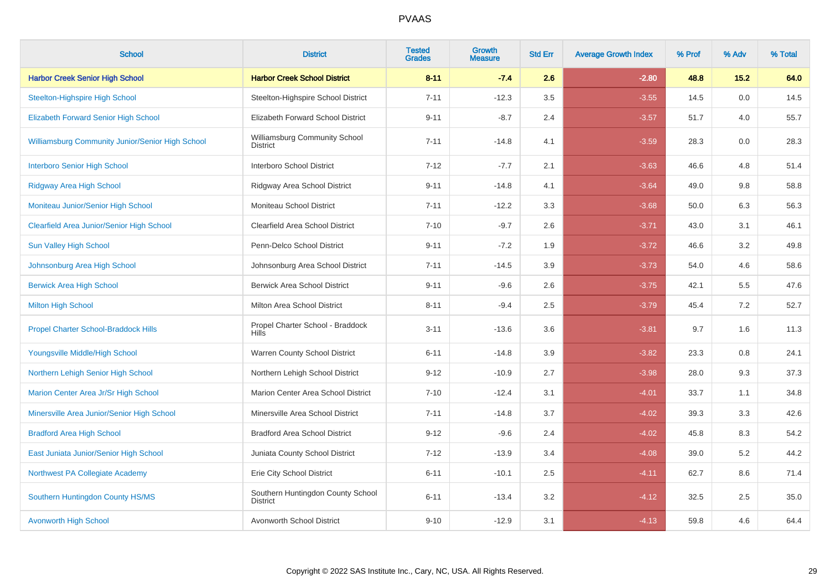| <b>School</b>                                           | <b>District</b>                                      | <b>Tested</b><br><b>Grades</b> | <b>Growth</b><br><b>Measure</b> | <b>Std Err</b> | <b>Average Growth Index</b> | % Prof | % Adv | % Total |
|---------------------------------------------------------|------------------------------------------------------|--------------------------------|---------------------------------|----------------|-----------------------------|--------|-------|---------|
| <b>Harbor Creek Senior High School</b>                  | <b>Harbor Creek School District</b>                  | $8 - 11$                       | $-7.4$                          | 2.6            | $-2.80$                     | 48.8   | 15.2  | 64.0    |
| <b>Steelton-Highspire High School</b>                   | Steelton-Highspire School District                   | $7 - 11$                       | $-12.3$                         | 3.5            | $-3.55$                     | 14.5   | 0.0   | 14.5    |
| <b>Elizabeth Forward Senior High School</b>             | Elizabeth Forward School District                    | $9 - 11$                       | $-8.7$                          | 2.4            | $-3.57$                     | 51.7   | 4.0   | 55.7    |
| <b>Williamsburg Community Junior/Senior High School</b> | Williamsburg Community School<br><b>District</b>     | $7 - 11$                       | $-14.8$                         | 4.1            | $-3.59$                     | 28.3   | 0.0   | 28.3    |
| <b>Interboro Senior High School</b>                     | Interboro School District                            | $7 - 12$                       | $-7.7$                          | 2.1            | $-3.63$                     | 46.6   | 4.8   | 51.4    |
| <b>Ridgway Area High School</b>                         | Ridgway Area School District                         | $9 - 11$                       | $-14.8$                         | 4.1            | $-3.64$                     | 49.0   | 9.8   | 58.8    |
| Moniteau Junior/Senior High School                      | Moniteau School District                             | $7 - 11$                       | $-12.2$                         | 3.3            | $-3.68$                     | 50.0   | 6.3   | 56.3    |
| <b>Clearfield Area Junior/Senior High School</b>        | Clearfield Area School District                      | $7 - 10$                       | $-9.7$                          | 2.6            | $-3.71$                     | 43.0   | 3.1   | 46.1    |
| <b>Sun Valley High School</b>                           | Penn-Delco School District                           | $9 - 11$                       | $-7.2$                          | 1.9            | $-3.72$                     | 46.6   | 3.2   | 49.8    |
| Johnsonburg Area High School                            | Johnsonburg Area School District                     | $7 - 11$                       | $-14.5$                         | 3.9            | $-3.73$                     | 54.0   | 4.6   | 58.6    |
| <b>Berwick Area High School</b>                         | <b>Berwick Area School District</b>                  | $9 - 11$                       | $-9.6$                          | 2.6            | $-3.75$                     | 42.1   | 5.5   | 47.6    |
| <b>Milton High School</b>                               | Milton Area School District                          | $8 - 11$                       | $-9.4$                          | 2.5            | $-3.79$                     | 45.4   | 7.2   | 52.7    |
| <b>Propel Charter School-Braddock Hills</b>             | Propel Charter School - Braddock<br><b>Hills</b>     | $3 - 11$                       | $-13.6$                         | 3.6            | $-3.81$                     | 9.7    | 1.6   | 11.3    |
| Youngsville Middle/High School                          | Warren County School District                        | $6 - 11$                       | $-14.8$                         | 3.9            | $-3.82$                     | 23.3   | 0.8   | 24.1    |
| Northern Lehigh Senior High School                      | Northern Lehigh School District                      | $9 - 12$                       | $-10.9$                         | 2.7            | $-3.98$                     | 28.0   | 9.3   | 37.3    |
| Marion Center Area Jr/Sr High School                    | Marion Center Area School District                   | $7 - 10$                       | $-12.4$                         | 3.1            | $-4.01$                     | 33.7   | 1.1   | 34.8    |
| Minersville Area Junior/Senior High School              | Minersville Area School District                     | $7 - 11$                       | $-14.8$                         | 3.7            | $-4.02$                     | 39.3   | 3.3   | 42.6    |
| <b>Bradford Area High School</b>                        | <b>Bradford Area School District</b>                 | $9 - 12$                       | $-9.6$                          | 2.4            | $-4.02$                     | 45.8   | 8.3   | 54.2    |
| East Juniata Junior/Senior High School                  | Juniata County School District                       | $7 - 12$                       | $-13.9$                         | 3.4            | $-4.08$                     | 39.0   | 5.2   | 44.2    |
| Northwest PA Collegiate Academy                         | Erie City School District                            | $6 - 11$                       | $-10.1$                         | 2.5            | $-4.11$                     | 62.7   | 8.6   | 71.4    |
| Southern Huntingdon County HS/MS                        | Southern Huntingdon County School<br><b>District</b> | $6 - 11$                       | $-13.4$                         | 3.2            | $-4.12$                     | 32.5   | 2.5   | 35.0    |
| <b>Avonworth High School</b>                            | Avonworth School District                            | $9 - 10$                       | $-12.9$                         | 3.1            | $-4.13$                     | 59.8   | 4.6   | 64.4    |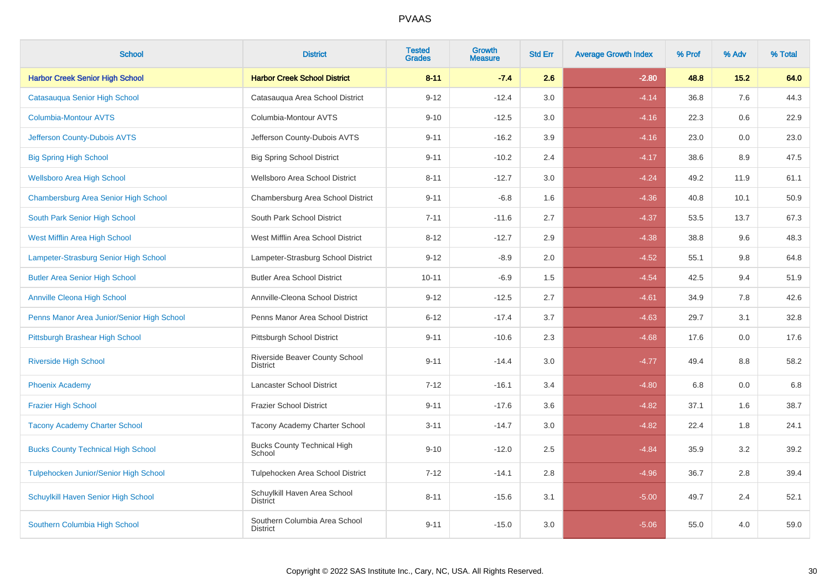| <b>School</b>                              | <b>District</b>                                  | <b>Tested</b><br><b>Grades</b> | <b>Growth</b><br><b>Measure</b> | <b>Std Err</b> | <b>Average Growth Index</b> | % Prof | % Adv   | % Total |
|--------------------------------------------|--------------------------------------------------|--------------------------------|---------------------------------|----------------|-----------------------------|--------|---------|---------|
| <b>Harbor Creek Senior High School</b>     | <b>Harbor Creek School District</b>              | $8 - 11$                       | $-7.4$                          | 2.6            | $-2.80$                     | 48.8   | 15.2    | 64.0    |
| Catasauqua Senior High School              | Catasauqua Area School District                  | $9 - 12$                       | $-12.4$                         | 3.0            | $-4.14$                     | 36.8   | 7.6     | 44.3    |
| <b>Columbia-Montour AVTS</b>               | Columbia-Montour AVTS                            | $9 - 10$                       | $-12.5$                         | 3.0            | $-4.16$                     | 22.3   | 0.6     | 22.9    |
| Jefferson County-Dubois AVTS               | Jefferson County-Dubois AVTS                     | $9 - 11$                       | $-16.2$                         | 3.9            | $-4.16$                     | 23.0   | $0.0\,$ | 23.0    |
| <b>Big Spring High School</b>              | <b>Big Spring School District</b>                | $9 - 11$                       | $-10.2$                         | 2.4            | $-4.17$                     | 38.6   | 8.9     | 47.5    |
| <b>Wellsboro Area High School</b>          | Wellsboro Area School District                   | $8 - 11$                       | $-12.7$                         | 3.0            | $-4.24$                     | 49.2   | 11.9    | 61.1    |
| Chambersburg Area Senior High School       | Chambersburg Area School District                | $9 - 11$                       | $-6.8$                          | 1.6            | $-4.36$                     | 40.8   | 10.1    | 50.9    |
| South Park Senior High School              | South Park School District                       | $7 - 11$                       | $-11.6$                         | 2.7            | $-4.37$                     | 53.5   | 13.7    | 67.3    |
| West Mifflin Area High School              | West Mifflin Area School District                | $8 - 12$                       | $-12.7$                         | 2.9            | $-4.38$                     | 38.8   | 9.6     | 48.3    |
| Lampeter-Strasburg Senior High School      | Lampeter-Strasburg School District               | $9 - 12$                       | $-8.9$                          | 2.0            | $-4.52$                     | 55.1   | 9.8     | 64.8    |
| <b>Butler Area Senior High School</b>      | <b>Butler Area School District</b>               | $10 - 11$                      | $-6.9$                          | 1.5            | $-4.54$                     | 42.5   | 9.4     | 51.9    |
| <b>Annville Cleona High School</b>         | Annville-Cleona School District                  | $9 - 12$                       | $-12.5$                         | 2.7            | $-4.61$                     | 34.9   | 7.8     | 42.6    |
| Penns Manor Area Junior/Senior High School | Penns Manor Area School District                 | $6 - 12$                       | $-17.4$                         | 3.7            | $-4.63$                     | 29.7   | 3.1     | 32.8    |
| Pittsburgh Brashear High School            | Pittsburgh School District                       | $9 - 11$                       | $-10.6$                         | 2.3            | $-4.68$                     | 17.6   | 0.0     | 17.6    |
| <b>Riverside High School</b>               | Riverside Beaver County School<br>District       | $9 - 11$                       | $-14.4$                         | 3.0            | $-4.77$                     | 49.4   | 8.8     | 58.2    |
| <b>Phoenix Academy</b>                     | <b>Lancaster School District</b>                 | $7 - 12$                       | $-16.1$                         | 3.4            | $-4.80$                     | 6.8    | 0.0     | 6.8     |
| <b>Frazier High School</b>                 | <b>Frazier School District</b>                   | $9 - 11$                       | $-17.6$                         | 3.6            | $-4.82$                     | 37.1   | 1.6     | 38.7    |
| <b>Tacony Academy Charter School</b>       | Tacony Academy Charter School                    | $3 - 11$                       | $-14.7$                         | 3.0            | $-4.82$                     | 22.4   | 1.8     | 24.1    |
| <b>Bucks County Technical High School</b>  | <b>Bucks County Technical High</b><br>School     | $9 - 10$                       | $-12.0$                         | 2.5            | $-4.84$                     | 35.9   | 3.2     | 39.2    |
| Tulpehocken Junior/Senior High School      | Tulpehocken Area School District                 | $7 - 12$                       | $-14.1$                         | 2.8            | $-4.96$                     | 36.7   | 2.8     | 39.4    |
| Schuylkill Haven Senior High School        | Schuylkill Haven Area School<br><b>District</b>  | $8 - 11$                       | $-15.6$                         | 3.1            | $-5.00$                     | 49.7   | 2.4     | 52.1    |
| Southern Columbia High School              | Southern Columbia Area School<br><b>District</b> | $9 - 11$                       | $-15.0$                         | 3.0            | $-5.06$                     | 55.0   | 4.0     | 59.0    |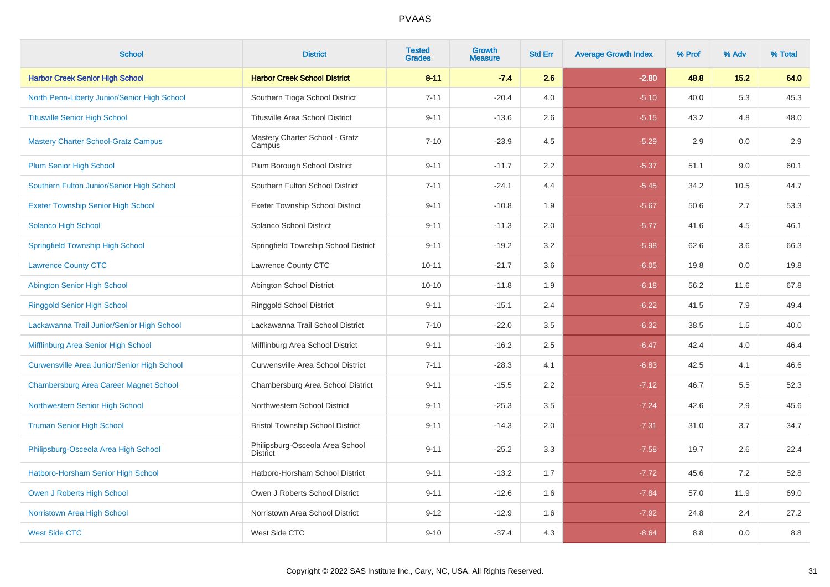| <b>School</b>                                      | <b>District</b>                                    | <b>Tested</b><br><b>Grades</b> | <b>Growth</b><br><b>Measure</b> | <b>Std Err</b> | <b>Average Growth Index</b> | % Prof | % Adv | % Total |
|----------------------------------------------------|----------------------------------------------------|--------------------------------|---------------------------------|----------------|-----------------------------|--------|-------|---------|
| <b>Harbor Creek Senior High School</b>             | <b>Harbor Creek School District</b>                | $8 - 11$                       | $-7.4$                          | 2.6            | $-2.80$                     | 48.8   | 15.2  | 64.0    |
| North Penn-Liberty Junior/Senior High School       | Southern Tioga School District                     | $7 - 11$                       | $-20.4$                         | 4.0            | $-5.10$                     | 40.0   | 5.3   | 45.3    |
| <b>Titusville Senior High School</b>               | <b>Titusville Area School District</b>             | $9 - 11$                       | $-13.6$                         | 2.6            | $-5.15$                     | 43.2   | 4.8   | 48.0    |
| <b>Mastery Charter School-Gratz Campus</b>         | Mastery Charter School - Gratz<br>Campus           | $7 - 10$                       | $-23.9$                         | 4.5            | $-5.29$                     | 2.9    | 0.0   | 2.9     |
| <b>Plum Senior High School</b>                     | Plum Borough School District                       | $9 - 11$                       | $-11.7$                         | 2.2            | $-5.37$                     | 51.1   | 9.0   | 60.1    |
| Southern Fulton Junior/Senior High School          | Southern Fulton School District                    | $7 - 11$                       | $-24.1$                         | 4.4            | $-5.45$                     | 34.2   | 10.5  | 44.7    |
| <b>Exeter Township Senior High School</b>          | <b>Exeter Township School District</b>             | $9 - 11$                       | $-10.8$                         | 1.9            | $-5.67$                     | 50.6   | 2.7   | 53.3    |
| <b>Solanco High School</b>                         | Solanco School District                            | $9 - 11$                       | $-11.3$                         | 2.0            | $-5.77$                     | 41.6   | 4.5   | 46.1    |
| <b>Springfield Township High School</b>            | Springfield Township School District               | $9 - 11$                       | $-19.2$                         | 3.2            | $-5.98$                     | 62.6   | 3.6   | 66.3    |
| <b>Lawrence County CTC</b>                         | Lawrence County CTC                                | $10 - 11$                      | $-21.7$                         | 3.6            | $-6.05$                     | 19.8   | 0.0   | 19.8    |
| <b>Abington Senior High School</b>                 | Abington School District                           | $10 - 10$                      | $-11.8$                         | 1.9            | $-6.18$                     | 56.2   | 11.6  | 67.8    |
| <b>Ringgold Senior High School</b>                 | Ringgold School District                           | $9 - 11$                       | $-15.1$                         | 2.4            | $-6.22$                     | 41.5   | 7.9   | 49.4    |
| Lackawanna Trail Junior/Senior High School         | Lackawanna Trail School District                   | $7 - 10$                       | $-22.0$                         | 3.5            | $-6.32$                     | 38.5   | 1.5   | 40.0    |
| Mifflinburg Area Senior High School                | Mifflinburg Area School District                   | $9 - 11$                       | $-16.2$                         | 2.5            | $-6.47$                     | 42.4   | 4.0   | 46.4    |
| <b>Curwensville Area Junior/Senior High School</b> | Curwensville Area School District                  | $7 - 11$                       | $-28.3$                         | 4.1            | $-6.83$                     | 42.5   | 4.1   | 46.6    |
| <b>Chambersburg Area Career Magnet School</b>      | Chambersburg Area School District                  | $9 - 11$                       | $-15.5$                         | 2.2            | $-7.12$                     | 46.7   | 5.5   | 52.3    |
| Northwestern Senior High School                    | Northwestern School District                       | $9 - 11$                       | $-25.3$                         | 3.5            | $-7.24$                     | 42.6   | 2.9   | 45.6    |
| <b>Truman Senior High School</b>                   | <b>Bristol Township School District</b>            | $9 - 11$                       | $-14.3$                         | 2.0            | $-7.31$                     | 31.0   | 3.7   | 34.7    |
| Philipsburg-Osceola Area High School               | Philipsburg-Osceola Area School<br><b>District</b> | $9 - 11$                       | $-25.2$                         | 3.3            | $-7.58$                     | 19.7   | 2.6   | 22.4    |
| Hatboro-Horsham Senior High School                 | Hatboro-Horsham School District                    | $9 - 11$                       | $-13.2$                         | 1.7            | $-7.72$                     | 45.6   | 7.2   | 52.8    |
| Owen J Roberts High School                         | Owen J Roberts School District                     | $9 - 11$                       | $-12.6$                         | 1.6            | $-7.84$                     | 57.0   | 11.9  | 69.0    |
| Norristown Area High School                        | Norristown Area School District                    | $9 - 12$                       | $-12.9$                         | 1.6            | $-7.92$                     | 24.8   | 2.4   | 27.2    |
| <b>West Side CTC</b>                               | West Side CTC                                      | $9 - 10$                       | $-37.4$                         | 4.3            | $-8.64$                     | 8.8    | 0.0   | 8.8     |